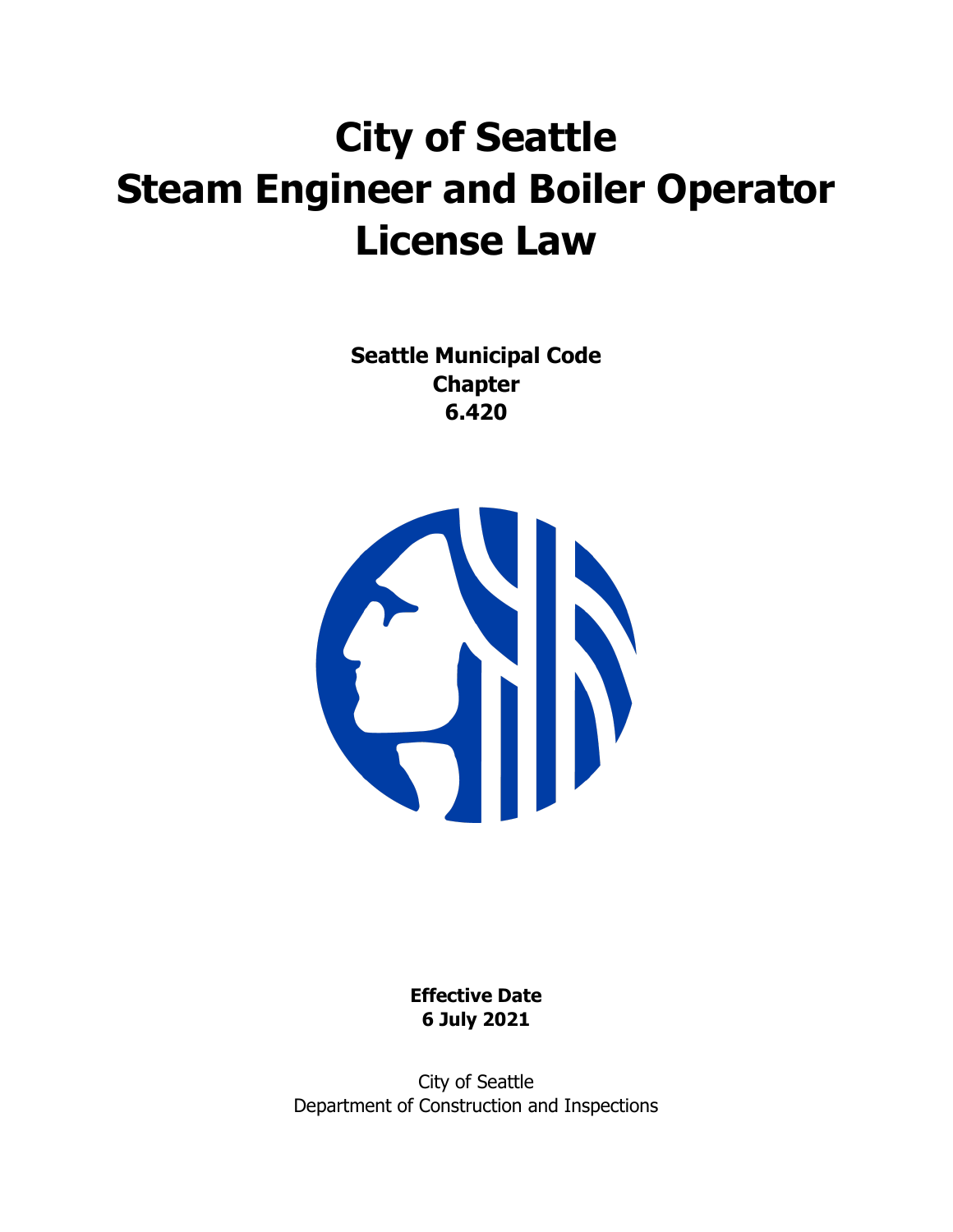# **City of Seattle Steam Engineer and Boiler Operator License Law**

**Seattle Municipal Code Chapter 6.420**



**Effective Date 6 July 2021** 

City of Seattle Department of Construction and Inspections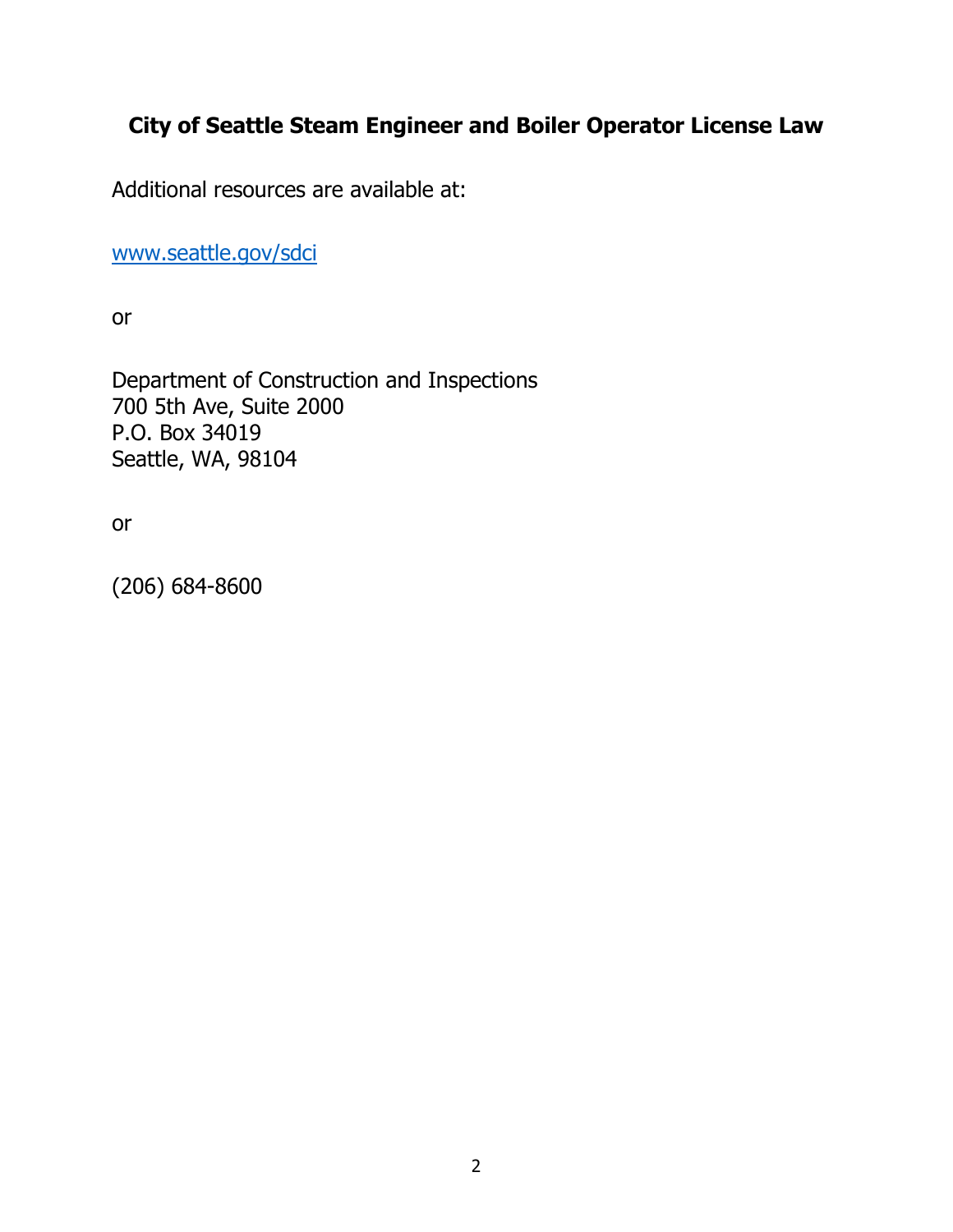# **City of Seattle Steam Engineer and Boiler Operator License Law**

Additional resources are available at:

[www.seattle.gov/sdci](http://www.seattle.gov/sdci)

or

Department of Construction and Inspections 700 5th Ave, Suite 2000 P.O. Box 34019 Seattle, WA, 98104

or

(206) 684-8600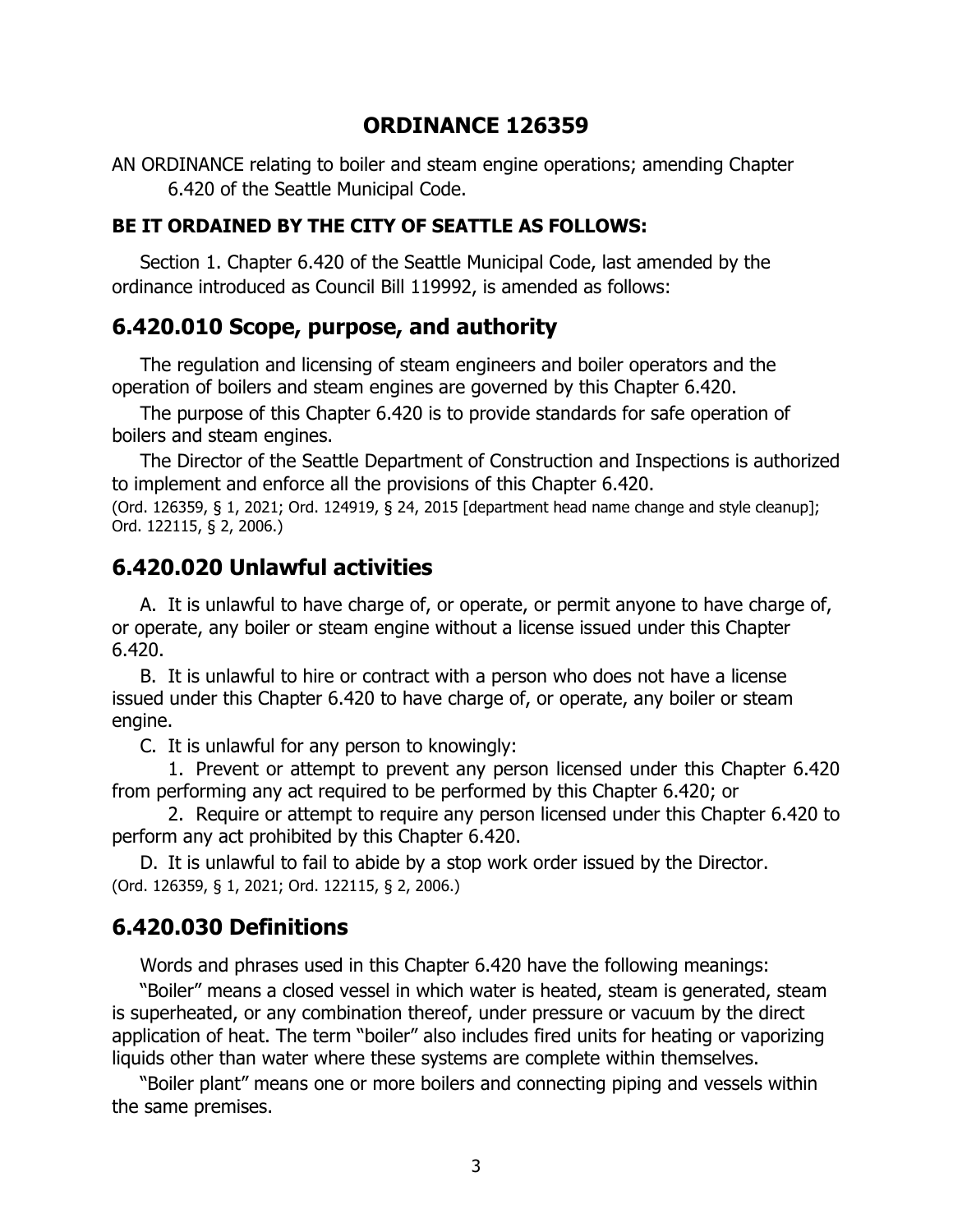## **ORDINANCE 126359**

AN ORDINANCE relating to boiler and steam engine operations; amending Chapter 6.420 of the Seattle Municipal Code.

#### **BE IT ORDAINED BY THE CITY OF SEATTLE AS FOLLOWS:**

Section 1. Chapter 6.420 of the Seattle Municipal Code, last amended by the ordinance introduced as Council Bill 119992, is amended as follows:

#### **6.420.010 Scope, purpose, and authority**

The regulation and licensing of steam engineers and boiler operators and the operation of boilers and steam engines are governed by this Chapter 6.420.

The purpose of this Chapter 6.420 is to provide standards for safe operation of boilers and steam engines.

The Director of the Seattle Department of Construction and Inspections is authorized to implement and enforce all the provisions of this Chapter 6.420.

(Ord. 126359, § 1, 2021; Ord. 124919, § 24, 2015 [department head name change and style cleanup]; Ord. 122115, § 2, 2006.)

#### **6.420.020 Unlawful activities**

A. It is unlawful to have charge of, or operate, or permit anyone to have charge of, or operate, any boiler or steam engine without a license issued under this Chapter 6.420.

B. It is unlawful to hire or contract with a person who does not have a license issued under this Chapter 6.420 to have charge of, or operate, any boiler or steam engine.

C. It is unlawful for any person to knowingly:

1. Prevent or attempt to prevent any person licensed under this Chapter 6.420 from performing any act required to be performed by this Chapter 6.420; or

2. Require or attempt to require any person licensed under this Chapter 6.420 to perform any act prohibited by this Chapter 6.420.

D. It is unlawful to fail to abide by a stop work order issued by the Director. (Ord. 126359, § 1, 2021; Ord. 122115, § 2, 2006.)

#### **6.420.030 Definitions**

Words and phrases used in this Chapter 6.420 have the following meanings:

"Boiler" means a closed vessel in which water is heated, steam is generated, steam is superheated, or any combination thereof, under pressure or vacuum by the direct application of heat. The term "boiler" also includes fired units for heating or vaporizing liquids other than water where these systems are complete within themselves.

"Boiler plant" means one or more boilers and connecting piping and vessels within the same premises.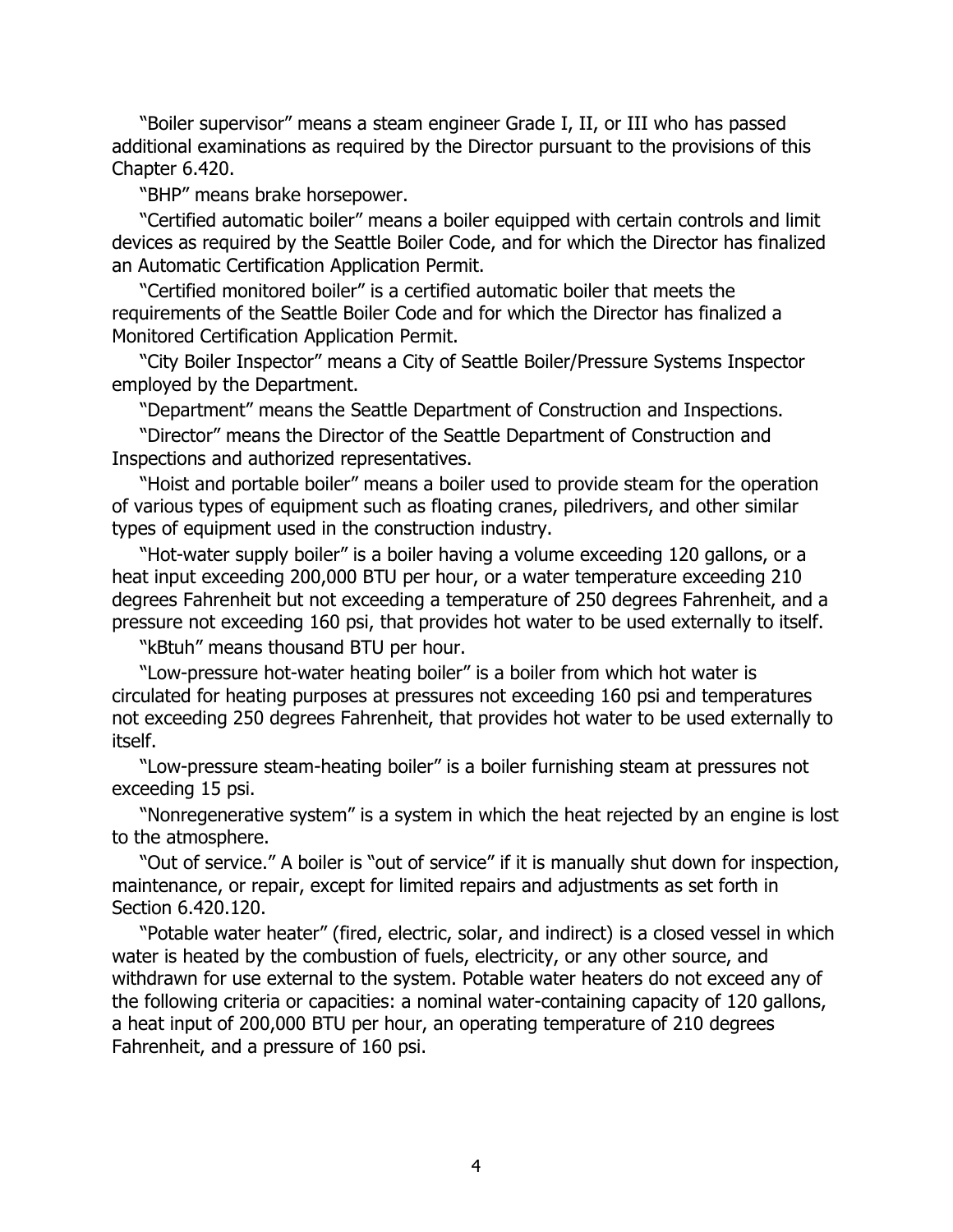"Boiler supervisor" means a steam engineer Grade I, II, or III who has passed additional examinations as required by the Director pursuant to the provisions of this Chapter 6.420.

"BHP" means brake horsepower.

"Certified automatic boiler" means a boiler equipped with certain controls and limit devices as required by the Seattle Boiler Code, and for which the Director has finalized an Automatic Certification Application Permit.

"Certified monitored boiler" is a certified automatic boiler that meets the requirements of the Seattle Boiler Code and for which the Director has finalized a Monitored Certification Application Permit.

"City Boiler Inspector" means a City of Seattle Boiler/Pressure Systems Inspector employed by the Department.

"Department" means the Seattle Department of Construction and Inspections.

"Director" means the Director of the Seattle Department of Construction and Inspections and authorized representatives.

"Hoist and portable boiler" means a boiler used to provide steam for the operation of various types of equipment such as floating cranes, piledrivers, and other similar types of equipment used in the construction industry.

"Hot-water supply boiler" is a boiler having a volume exceeding 120 gallons, or a heat input exceeding 200,000 BTU per hour, or a water temperature exceeding 210 degrees Fahrenheit but not exceeding a temperature of 250 degrees Fahrenheit, and a pressure not exceeding 160 psi, that provides hot water to be used externally to itself.

"kBtuh" means thousand BTU per hour.

"Low-pressure hot-water heating boiler" is a boiler from which hot water is circulated for heating purposes at pressures not exceeding 160 psi and temperatures not exceeding 250 degrees Fahrenheit, that provides hot water to be used externally to itself.

"Low-pressure steam-heating boiler" is a boiler furnishing steam at pressures not exceeding 15 psi.

"Nonregenerative system" is a system in which the heat rejected by an engine is lost to the atmosphere.

"Out of service." A boiler is "out of service" if it is manually shut down for inspection, maintenance, or repair, except for limited repairs and adjustments as set forth in Section 6.420.120.

"Potable water heater" (fired, electric, solar, and indirect) is a closed vessel in which water is heated by the combustion of fuels, electricity, or any other source, and withdrawn for use external to the system. Potable water heaters do not exceed any of the following criteria or capacities: a nominal water-containing capacity of 120 gallons, a heat input of 200,000 BTU per hour, an operating temperature of 210 degrees Fahrenheit, and a pressure of 160 psi.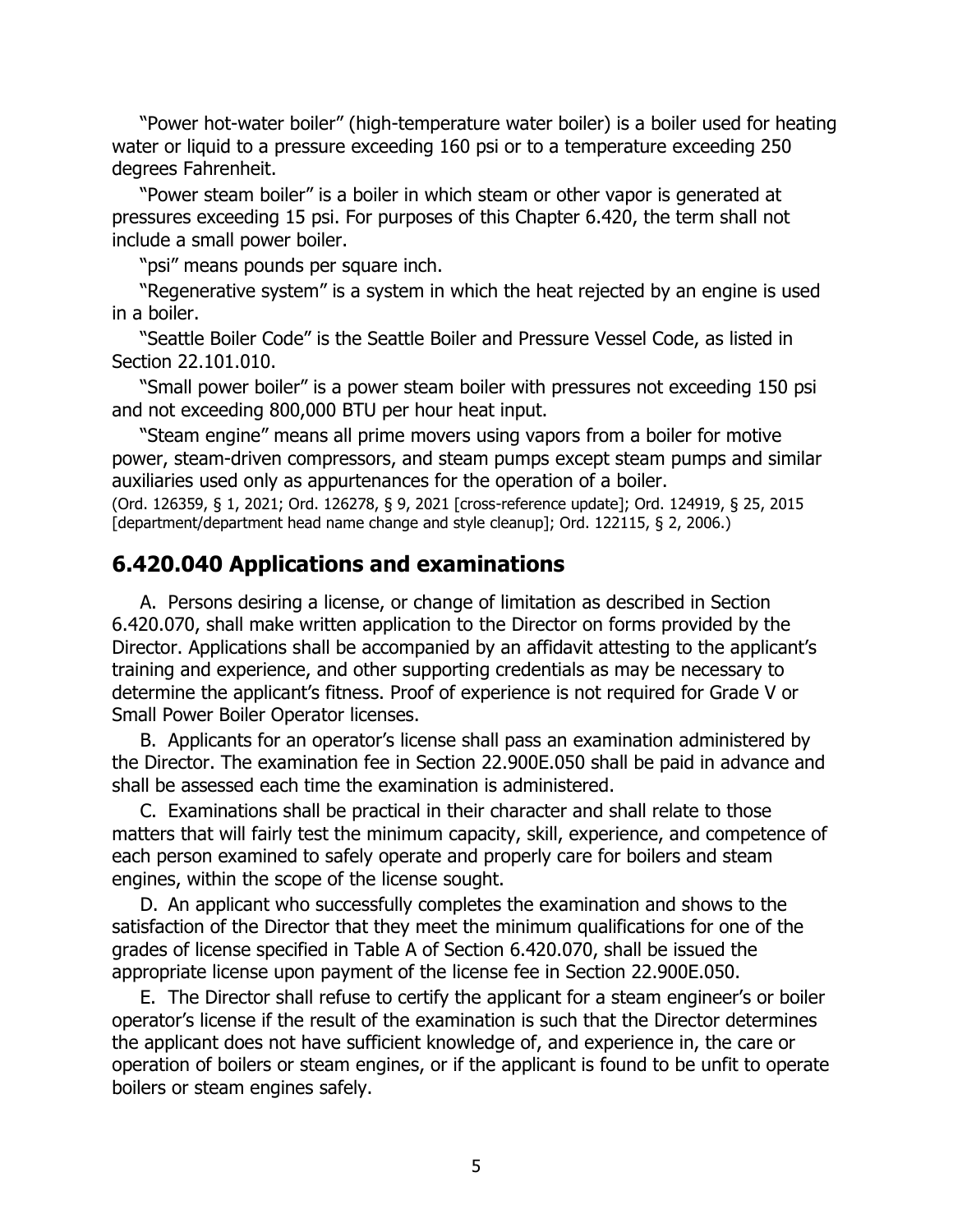"Power hot-water boiler" (high-temperature water boiler) is a boiler used for heating water or liquid to a pressure exceeding 160 psi or to a temperature exceeding 250 degrees Fahrenheit.

"Power steam boiler" is a boiler in which steam or other vapor is generated at pressures exceeding 15 psi. For purposes of this Chapter 6.420, the term shall not include a small power boiler.

"psi" means pounds per square inch.

"Regenerative system" is a system in which the heat rejected by an engine is used in a boiler.

"Seattle Boiler Code" is the Seattle Boiler and Pressure Vessel Code, as listed in Section 22.101.010.

"Small power boiler" is a power steam boiler with pressures not exceeding 150 psi and not exceeding 800,000 BTU per hour heat input.

"Steam engine" means all prime movers using vapors from a boiler for motive power, steam-driven compressors, and steam pumps except steam pumps and similar auxiliaries used only as appurtenances for the operation of a boiler.

(Ord. 126359, § 1, 2021; Ord. 126278, § 9, 2021 [cross-reference update]; Ord. 124919, § 25, 2015 [department/department head name change and style cleanup]; Ord. 122115, § 2, 2006.)

## **6.420.040 Applications and examinations**

A. Persons desiring a license, or change of limitation as described in Section 6.420.070, shall make written application to the Director on forms provided by the Director. Applications shall be accompanied by an affidavit attesting to the applicant's training and experience, and other supporting credentials as may be necessary to determine the applicant's fitness. Proof of experience is not required for Grade V or Small Power Boiler Operator licenses.

B. Applicants for an operator's license shall pass an examination administered by the Director. The examination fee in Section 22.900E.050 shall be paid in advance and shall be assessed each time the examination is administered.

C. Examinations shall be practical in their character and shall relate to those matters that will fairly test the minimum capacity, skill, experience, and competence of each person examined to safely operate and properly care for boilers and steam engines, within the scope of the license sought.

D. An applicant who successfully completes the examination and shows to the satisfaction of the Director that they meet the minimum qualifications for one of the grades of license specified in Table A of Section 6.420.070, shall be issued the appropriate license upon payment of the license fee in Section 22.900E.050.

E. The Director shall refuse to certify the applicant for a steam engineer's or boiler operator's license if the result of the examination is such that the Director determines the applicant does not have sufficient knowledge of, and experience in, the care or operation of boilers or steam engines, or if the applicant is found to be unfit to operate boilers or steam engines safely.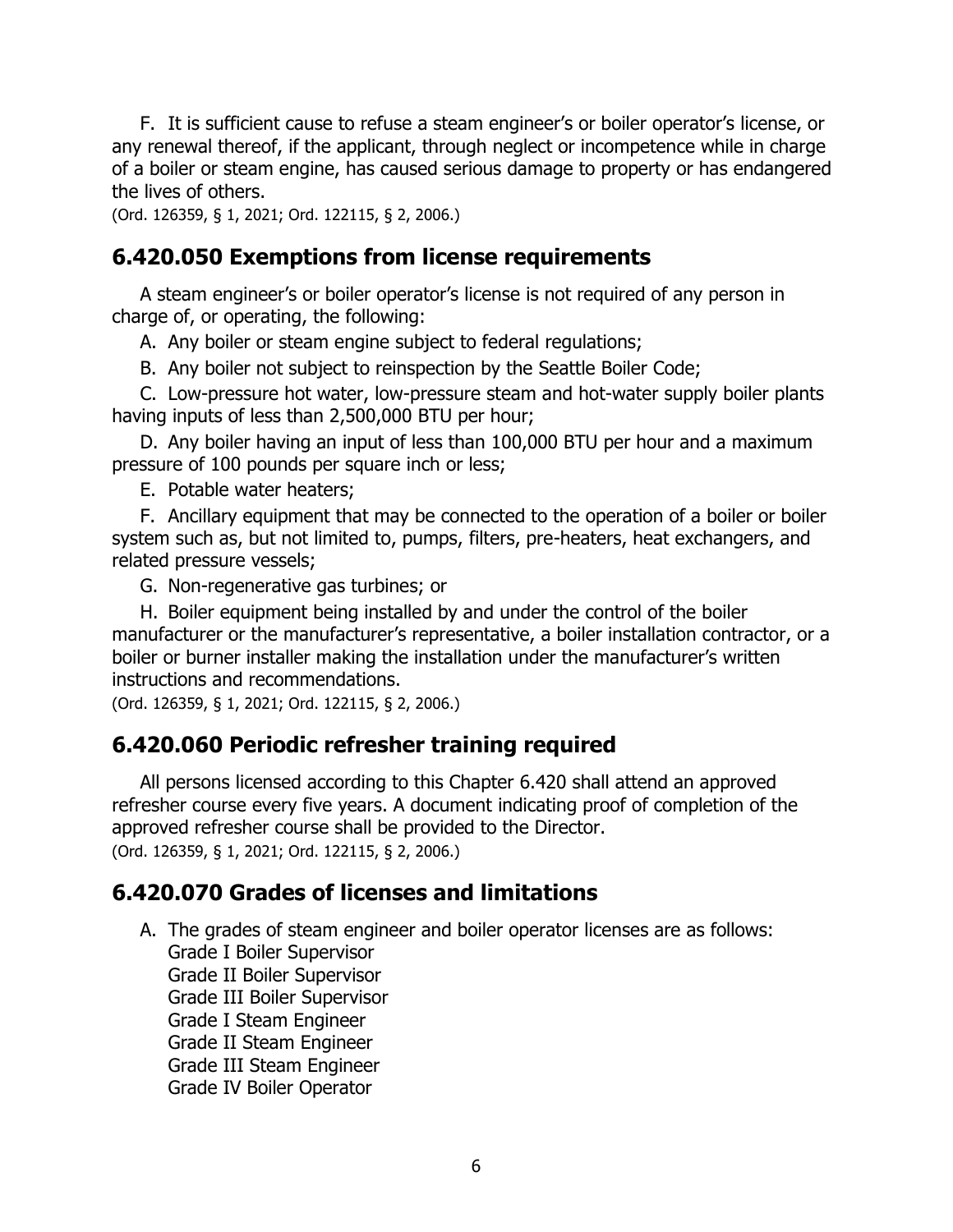F. It is sufficient cause to refuse a steam engineer's or boiler operator's license, or any renewal thereof, if the applicant, through neglect or incompetence while in charge of a boiler or steam engine, has caused serious damage to property or has endangered the lives of others.

(Ord. 126359, § 1, 2021; Ord. 122115, § 2, 2006.)

#### **6.420.050 Exemptions from license requirements**

A steam engineer's or boiler operator's license is not required of any person in charge of, or operating, the following:

A. Any boiler or steam engine subject to federal regulations;

B. Any boiler not subject to reinspection by the Seattle Boiler Code;

C. Low-pressure hot water, low-pressure steam and hot-water supply boiler plants having inputs of less than 2,500,000 BTU per hour;

D. Any boiler having an input of less than 100,000 BTU per hour and a maximum pressure of 100 pounds per square inch or less;

E. Potable water heaters;

F. Ancillary equipment that may be connected to the operation of a boiler or boiler system such as, but not limited to, pumps, filters, pre-heaters, heat exchangers, and related pressure vessels;

G. Non-regenerative gas turbines; or

H. Boiler equipment being installed by and under the control of the boiler manufacturer or the manufacturer's representative, a boiler installation contractor, or a boiler or burner installer making the installation under the manufacturer's written instructions and recommendations.

(Ord. 126359, § 1, 2021; Ord. 122115, § 2, 2006.)

#### **6.420.060 Periodic refresher training required**

All persons licensed according to this Chapter 6.420 shall attend an approved refresher course every five years. A document indicating proof of completion of the approved refresher course shall be provided to the Director. (Ord. 126359, § 1, 2021; Ord. 122115, § 2, 2006.)

## **6.420.070 Grades of licenses and limitations**

- A. The grades of steam engineer and boiler operator licenses are as follows: Grade I Boiler Supervisor Grade II Boiler Supervisor Grade III Boiler Supervisor Grade I Steam Engineer Grade II Steam Engineer Grade III Steam Engineer
	- Grade IV Boiler Operator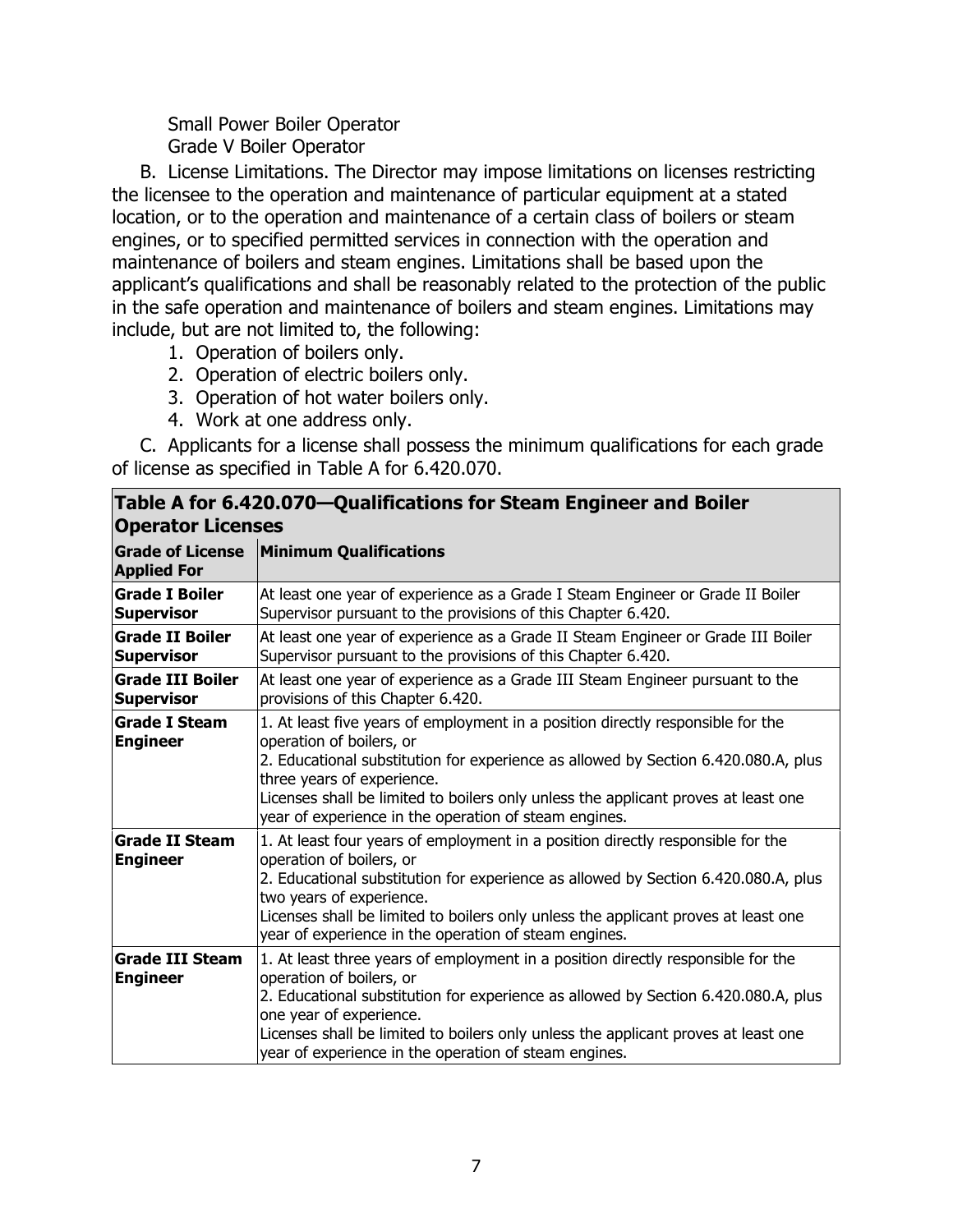Small Power Boiler Operator Grade V Boiler Operator

B. License Limitations. The Director may impose limitations on licenses restricting the licensee to the operation and maintenance of particular equipment at a stated location, or to the operation and maintenance of a certain class of boilers or steam engines, or to specified permitted services in connection with the operation and maintenance of boilers and steam engines. Limitations shall be based upon the applicant's qualifications and shall be reasonably related to the protection of the public in the safe operation and maintenance of boilers and steam engines. Limitations may include, but are not limited to, the following:

- 1. Operation of boilers only.
- 2. Operation of electric boilers only.
- 3. Operation of hot water boilers only.
- 4. Work at one address only.

C. Applicants for a license shall possess the minimum qualifications for each grade of license as specified in Table A for 6.420.070.

| וטווטס אווטו טודבטוטו ש קטמווווטטנוטווט וטו טנטמווו בווקוווטט מווט טטווטו<br><b>Operator Licenses</b> |                                                                                                                                                                                                                                                                                                                                                                                |  |
|-------------------------------------------------------------------------------------------------------|--------------------------------------------------------------------------------------------------------------------------------------------------------------------------------------------------------------------------------------------------------------------------------------------------------------------------------------------------------------------------------|--|
| <b>Grade of License</b><br><b>Applied For</b>                                                         | <b>Minimum Qualifications</b>                                                                                                                                                                                                                                                                                                                                                  |  |
| <b>Grade I Boiler</b><br><b>Supervisor</b>                                                            | At least one year of experience as a Grade I Steam Engineer or Grade II Boiler<br>Supervisor pursuant to the provisions of this Chapter 6.420.                                                                                                                                                                                                                                 |  |
| <b>Grade II Boiler</b><br><b>Supervisor</b>                                                           | At least one year of experience as a Grade II Steam Engineer or Grade III Boiler<br>Supervisor pursuant to the provisions of this Chapter 6.420.                                                                                                                                                                                                                               |  |
| <b>Grade III Boiler</b><br><b>Supervisor</b>                                                          | At least one year of experience as a Grade III Steam Engineer pursuant to the<br>provisions of this Chapter 6.420.                                                                                                                                                                                                                                                             |  |
| <b>Grade I Steam</b><br><b>Engineer</b>                                                               | 1. At least five years of employment in a position directly responsible for the<br>operation of boilers, or<br>2. Educational substitution for experience as allowed by Section 6.420.080.A, plus<br>three years of experience.<br>Licenses shall be limited to boilers only unless the applicant proves at least one<br>year of experience in the operation of steam engines. |  |
| <b>Grade II Steam</b><br><b>Engineer</b>                                                              | 1. At least four years of employment in a position directly responsible for the<br>operation of boilers, or<br>2. Educational substitution for experience as allowed by Section 6.420.080.A, plus<br>two years of experience.<br>Licenses shall be limited to boilers only unless the applicant proves at least one<br>year of experience in the operation of steam engines.   |  |
| <b>Grade III Steam</b><br><b>Engineer</b>                                                             | 1. At least three years of employment in a position directly responsible for the<br>operation of boilers, or<br>2. Educational substitution for experience as allowed by Section 6.420.080.A, plus<br>one year of experience.<br>Licenses shall be limited to boilers only unless the applicant proves at least one<br>year of experience in the operation of steam engines.   |  |

**Table A for 6.420.070—Qualifications for Steam Engineer and Boiler**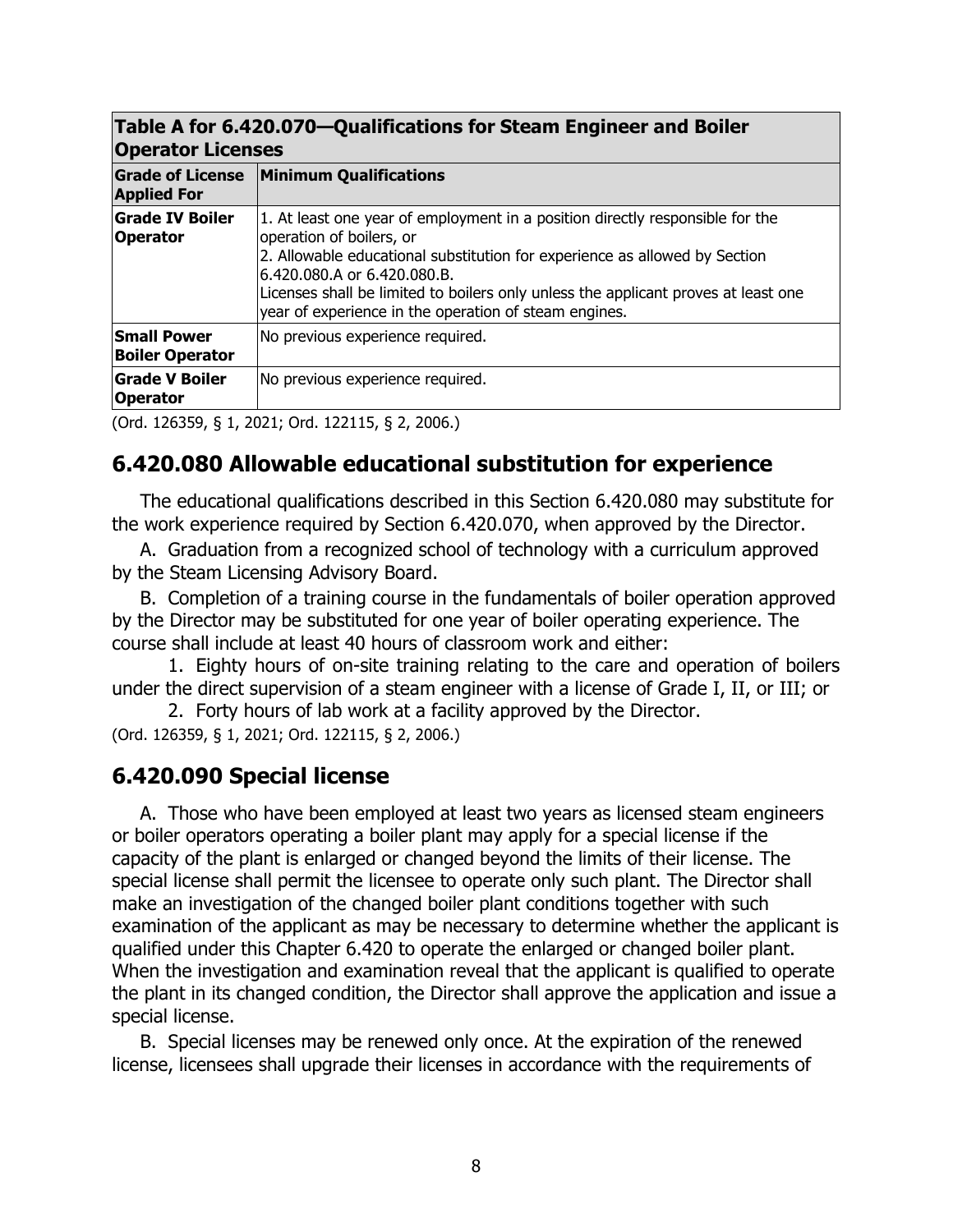#### **Table A for 6.420.070—Qualifications for Steam Engineer and Boiler Operator Licenses**

| <b>ANGIAMI FICEIPES</b>                       |                                                                                                                                                                                                                                                                                                                                                                        |  |
|-----------------------------------------------|------------------------------------------------------------------------------------------------------------------------------------------------------------------------------------------------------------------------------------------------------------------------------------------------------------------------------------------------------------------------|--|
| <b>Grade of License</b><br><b>Applied For</b> | <b>Minimum Qualifications</b>                                                                                                                                                                                                                                                                                                                                          |  |
| <b>Grade IV Boiler</b><br><b>Operator</b>     | 1. At least one year of employment in a position directly responsible for the<br>operation of boilers, or<br>2. Allowable educational substitution for experience as allowed by Section<br>l6.420.080.A or 6.420.080.B.<br>Licenses shall be limited to boilers only unless the applicant proves at least one<br>year of experience in the operation of steam engines. |  |
| <b>Small Power</b><br><b>Boiler Operator</b>  | No previous experience required.                                                                                                                                                                                                                                                                                                                                       |  |
| <b>Grade V Boiler</b><br><b>Operator</b>      | No previous experience required.                                                                                                                                                                                                                                                                                                                                       |  |
| $\sim$ $\sim$ $\sim$ $\sim$ $\sim$ $\sim$     | .                                                                                                                                                                                                                                                                                                                                                                      |  |

(Ord. 126359, § 1, 2021; Ord. 122115, § 2, 2006.)

# **6.420.080 Allowable educational substitution for experience**

The educational qualifications described in this Section 6.420.080 may substitute for the work experience required by Section 6.420.070, when approved by the Director.

A. Graduation from a recognized school of technology with a curriculum approved by the Steam Licensing Advisory Board.

B. Completion of a training course in the fundamentals of boiler operation approved by the Director may be substituted for one year of boiler operating experience. The course shall include at least 40 hours of classroom work and either:

1. Eighty hours of on-site training relating to the care and operation of boilers under the direct supervision of a steam engineer with a license of Grade I, II, or III; or

2. Forty hours of lab work at a facility approved by the Director.

(Ord. 126359, § 1, 2021; Ord. 122115, § 2, 2006.)

## **6.420.090 Special license**

A. Those who have been employed at least two years as licensed steam engineers or boiler operators operating a boiler plant may apply for a special license if the capacity of the plant is enlarged or changed beyond the limits of their license. The special license shall permit the licensee to operate only such plant. The Director shall make an investigation of the changed boiler plant conditions together with such examination of the applicant as may be necessary to determine whether the applicant is qualified under this Chapter 6.420 to operate the enlarged or changed boiler plant. When the investigation and examination reveal that the applicant is qualified to operate the plant in its changed condition, the Director shall approve the application and issue a special license.

B. Special licenses may be renewed only once. At the expiration of the renewed license, licensees shall upgrade their licenses in accordance with the requirements of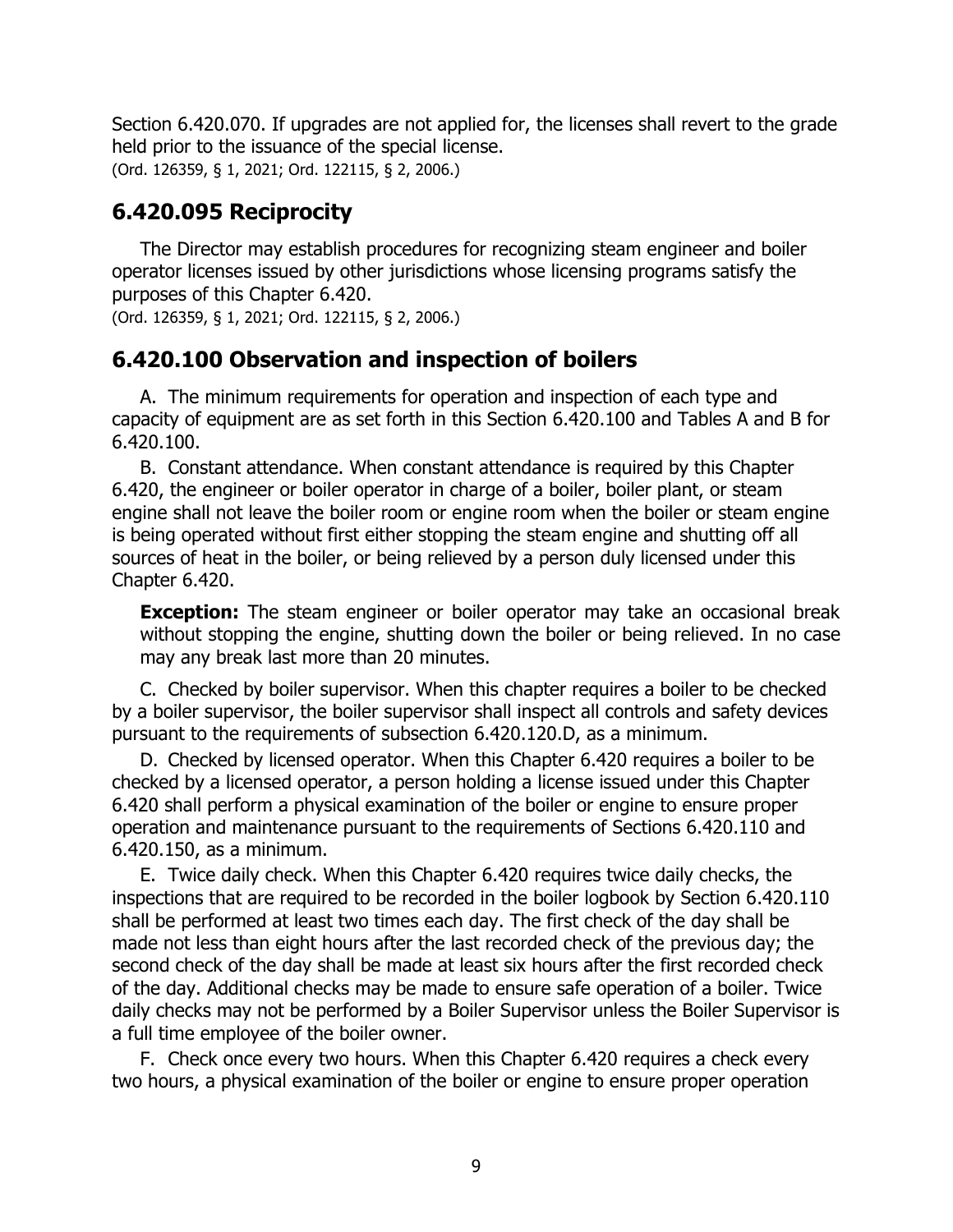Section 6.420.070. If upgrades are not applied for, the licenses shall revert to the grade held prior to the issuance of the special license.

(Ord. 126359, § 1, 2021; Ord. 122115, § 2, 2006.)

# **6.420.095 Reciprocity**

The Director may establish procedures for recognizing steam engineer and boiler operator licenses issued by other jurisdictions whose licensing programs satisfy the purposes of this Chapter 6.420.

(Ord. 126359, § 1, 2021; Ord. 122115, § 2, 2006.)

## **6.420.100 Observation and inspection of boilers**

A. The minimum requirements for operation and inspection of each type and capacity of equipment are as set forth in this Section 6.420.100 and Tables A and B for 6.420.100.

B. Constant attendance. When constant attendance is required by this Chapter 6.420, the engineer or boiler operator in charge of a boiler, boiler plant, or steam engine shall not leave the boiler room or engine room when the boiler or steam engine is being operated without first either stopping the steam engine and shutting off all sources of heat in the boiler, or being relieved by a person duly licensed under this Chapter 6.420.

**Exception:** The steam engineer or boiler operator may take an occasional break without stopping the engine, shutting down the boiler or being relieved. In no case may any break last more than 20 minutes.

C. Checked by boiler supervisor. When this chapter requires a boiler to be checked by a boiler supervisor, the boiler supervisor shall inspect all controls and safety devices pursuant to the requirements of subsection 6.420.120.D, as a minimum.

D. Checked by licensed operator. When this Chapter 6.420 requires a boiler to be checked by a licensed operator, a person holding a license issued under this Chapter 6.420 shall perform a physical examination of the boiler or engine to ensure proper operation and maintenance pursuant to the requirements of Sections 6.420.110 and 6.420.150, as a minimum.

E. Twice daily check. When this Chapter 6.420 requires twice daily checks, the inspections that are required to be recorded in the boiler logbook by Section 6.420.110 shall be performed at least two times each day. The first check of the day shall be made not less than eight hours after the last recorded check of the previous day; the second check of the day shall be made at least six hours after the first recorded check of the day. Additional checks may be made to ensure safe operation of a boiler. Twice daily checks may not be performed by a Boiler Supervisor unless the Boiler Supervisor is a full time employee of the boiler owner.

F. Check once every two hours. When this Chapter 6.420 requires a check every two hours, a physical examination of the boiler or engine to ensure proper operation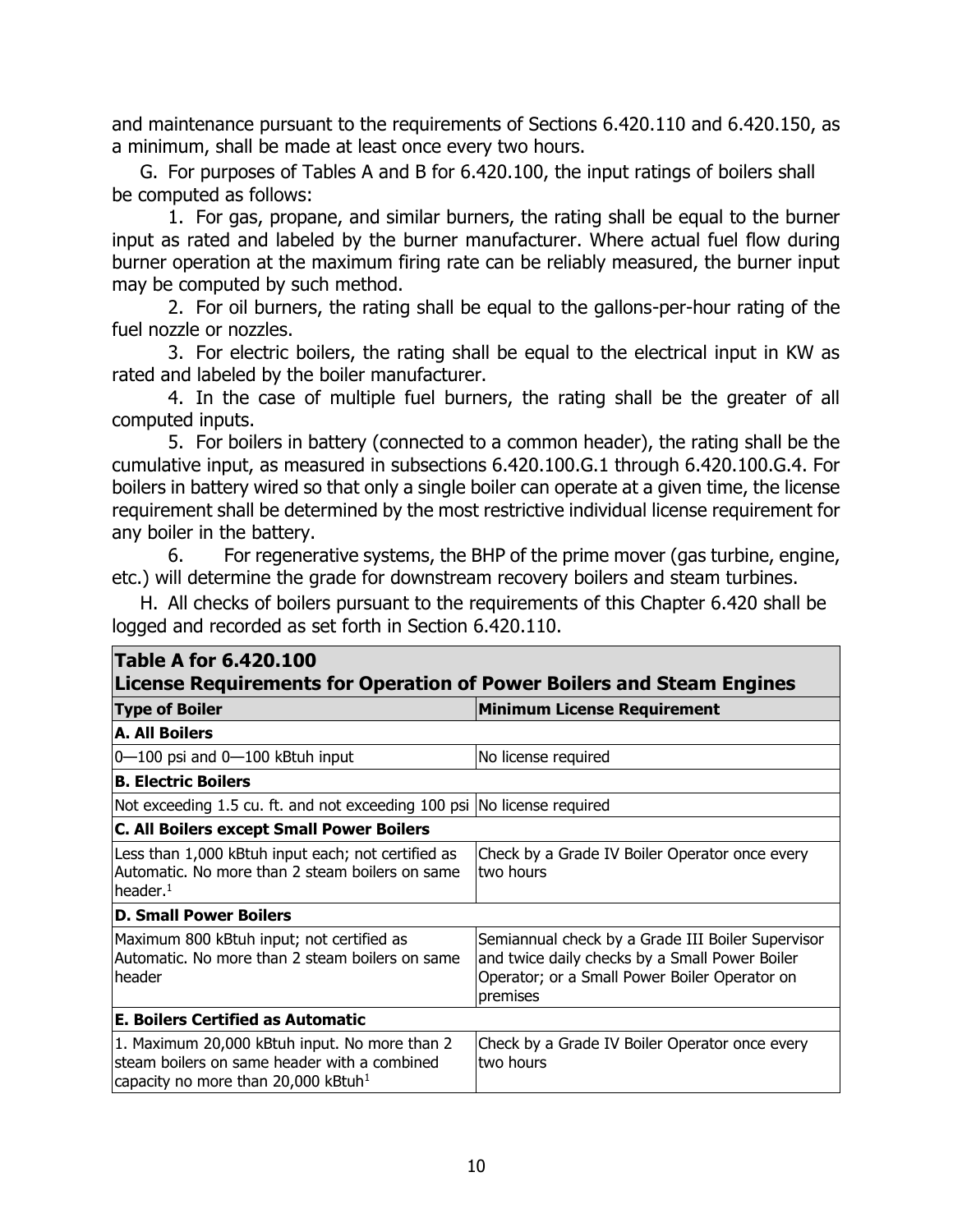and maintenance pursuant to the requirements of Sections 6.420.110 and 6.420.150, as a minimum, shall be made at least once every two hours.

G. For purposes of Tables A and B for 6.420.100, the input ratings of boilers shall be computed as follows:

1. For gas, propane, and similar burners, the rating shall be equal to the burner input as rated and labeled by the burner manufacturer. Where actual fuel flow during burner operation at the maximum firing rate can be reliably measured, the burner input may be computed by such method.

2. For oil burners, the rating shall be equal to the gallons-per-hour rating of the fuel nozzle or nozzles.

3. For electric boilers, the rating shall be equal to the electrical input in KW as rated and labeled by the boiler manufacturer.

4. In the case of multiple fuel burners, the rating shall be the greater of all computed inputs.

5. For boilers in battery (connected to a common header), the rating shall be the cumulative input, as measured in subsections 6.420.100.G.1 through 6.420.100.G.4. For boilers in battery wired so that only a single boiler can operate at a given time, the license requirement shall be determined by the most restrictive individual license requirement for any boiler in the battery.

6. For regenerative systems, the BHP of the prime mover (gas turbine, engine, etc.) will determine the grade for downstream recovery boilers and steam turbines.

H. All checks of boilers pursuant to the requirements of this Chapter 6.420 shall be logged and recorded as set forth in Section 6.420.110.

| <b>Table A for 6.420.100</b><br><b>License Requirements for Operation of Power Boilers and Steam Engines</b>                                     |                                                                                                                                                                  |  |  |  |
|--------------------------------------------------------------------------------------------------------------------------------------------------|------------------------------------------------------------------------------------------------------------------------------------------------------------------|--|--|--|
| <b>Type of Boiler</b>                                                                                                                            | <b>Minimum License Requirement</b>                                                                                                                               |  |  |  |
| <b>A. All Boilers</b>                                                                                                                            |                                                                                                                                                                  |  |  |  |
| $0 - 100$ psi and $0 - 100$ kBtuh input                                                                                                          | No license required                                                                                                                                              |  |  |  |
| <b>B. Electric Boilers</b>                                                                                                                       |                                                                                                                                                                  |  |  |  |
| Not exceeding 1.5 cu. ft. and not exceeding 100 psi No license required                                                                          |                                                                                                                                                                  |  |  |  |
| <b>C. All Boilers except Small Power Boilers</b>                                                                                                 |                                                                                                                                                                  |  |  |  |
| Less than 1,000 kBtuh input each; not certified as<br>Automatic. No more than 2 steam boilers on same<br>header. $1$                             | Check by a Grade IV Boiler Operator once every<br>ltwo hours                                                                                                     |  |  |  |
| <b>D. Small Power Boilers</b>                                                                                                                    |                                                                                                                                                                  |  |  |  |
| Maximum 800 kBtuh input; not certified as<br>Automatic. No more than 2 steam boilers on same<br>lheader                                          | Semiannual check by a Grade III Boiler Supervisor<br>and twice daily checks by a Small Power Boiler<br>Operator; or a Small Power Boiler Operator on<br>premises |  |  |  |
| E. Boilers Certified as Automatic                                                                                                                |                                                                                                                                                                  |  |  |  |
| 1. Maximum 20,000 kBtuh input. No more than 2<br>steam boilers on same header with a combined<br>capacity no more than 20,000 kBtuh <sup>1</sup> | Check by a Grade IV Boiler Operator once every<br>two hours                                                                                                      |  |  |  |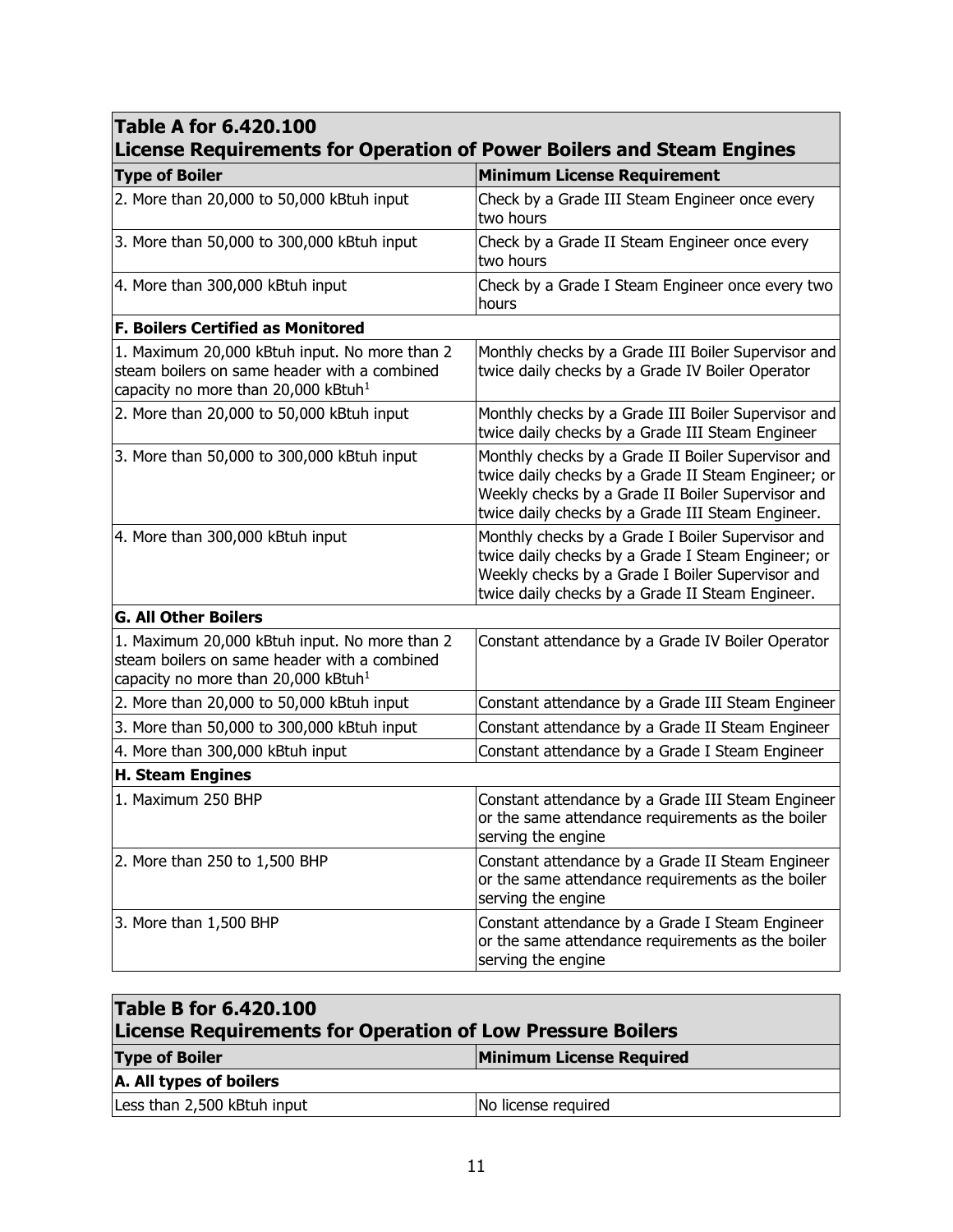| <b>Table A for 6.420.100</b><br>License Requirements for Operation of Power Boilers and Steam Engines                                            |                                                                                                                                                                                                                     |  |  |  |
|--------------------------------------------------------------------------------------------------------------------------------------------------|---------------------------------------------------------------------------------------------------------------------------------------------------------------------------------------------------------------------|--|--|--|
| <b>Type of Boiler</b>                                                                                                                            | <b>Minimum License Requirement</b>                                                                                                                                                                                  |  |  |  |
| 2. More than 20,000 to 50,000 kBtuh input                                                                                                        | Check by a Grade III Steam Engineer once every<br>two hours                                                                                                                                                         |  |  |  |
| 3. More than 50,000 to 300,000 kBtuh input                                                                                                       | Check by a Grade II Steam Engineer once every<br>two hours                                                                                                                                                          |  |  |  |
| 4. More than 300,000 kBtuh input                                                                                                                 | Check by a Grade I Steam Engineer once every two<br>hours                                                                                                                                                           |  |  |  |
| <b>F. Boilers Certified as Monitored</b>                                                                                                         |                                                                                                                                                                                                                     |  |  |  |
| 1. Maximum 20,000 kBtuh input. No more than 2<br>steam boilers on same header with a combined<br>capacity no more than 20,000 kBtuh <sup>1</sup> | Monthly checks by a Grade III Boiler Supervisor and<br>twice daily checks by a Grade IV Boiler Operator                                                                                                             |  |  |  |
| 2. More than 20,000 to 50,000 kBtuh input                                                                                                        | Monthly checks by a Grade III Boiler Supervisor and<br>twice daily checks by a Grade III Steam Engineer                                                                                                             |  |  |  |
| 3. More than 50,000 to 300,000 kBtuh input                                                                                                       | Monthly checks by a Grade II Boiler Supervisor and<br>twice daily checks by a Grade II Steam Engineer; or<br>Weekly checks by a Grade II Boiler Supervisor and<br>twice daily checks by a Grade III Steam Engineer. |  |  |  |
| 4. More than 300,000 kBtuh input                                                                                                                 | Monthly checks by a Grade I Boiler Supervisor and<br>twice daily checks by a Grade I Steam Engineer; or<br>Weekly checks by a Grade I Boiler Supervisor and<br>twice daily checks by a Grade II Steam Engineer.     |  |  |  |
| <b>G. All Other Boilers</b>                                                                                                                      |                                                                                                                                                                                                                     |  |  |  |
| 1. Maximum 20,000 kBtuh input. No more than 2<br>steam boilers on same header with a combined<br>capacity no more than 20,000 kBtuh <sup>1</sup> | Constant attendance by a Grade IV Boiler Operator                                                                                                                                                                   |  |  |  |
| 2. More than 20,000 to 50,000 kBtuh input                                                                                                        | Constant attendance by a Grade III Steam Engineer                                                                                                                                                                   |  |  |  |
| 3. More than 50,000 to 300,000 kBtuh input                                                                                                       | Constant attendance by a Grade II Steam Engineer                                                                                                                                                                    |  |  |  |
| 4. More than 300,000 kBtuh input                                                                                                                 | Constant attendance by a Grade I Steam Engineer                                                                                                                                                                     |  |  |  |
| <b>H. Steam Engines</b>                                                                                                                          |                                                                                                                                                                                                                     |  |  |  |
| 1. Maximum 250 BHP                                                                                                                               | Constant attendance by a Grade III Steam Engineer<br>or the same attendance requirements as the boiler<br>serving the engine                                                                                        |  |  |  |
| 2. More than 250 to 1,500 BHP                                                                                                                    | Constant attendance by a Grade II Steam Engineer<br>or the same attendance requirements as the boiler<br>serving the engine                                                                                         |  |  |  |
| 3. More than 1,500 BHP                                                                                                                           | Constant attendance by a Grade I Steam Engineer<br>or the same attendance requirements as the boiler<br>serving the engine                                                                                          |  |  |  |

 $\overline{\phantom{a}}$ 

| <b>Table B for 6.420.100</b><br><b>License Requirements for Operation of Low Pressure Boilers</b> |                                 |  |  |  |
|---------------------------------------------------------------------------------------------------|---------------------------------|--|--|--|
| <b>Type of Boiler</b>                                                                             | <b>Minimum License Required</b> |  |  |  |
| A. All types of boilers                                                                           |                                 |  |  |  |
| Less than 2,500 kBtuh input                                                                       | No license required             |  |  |  |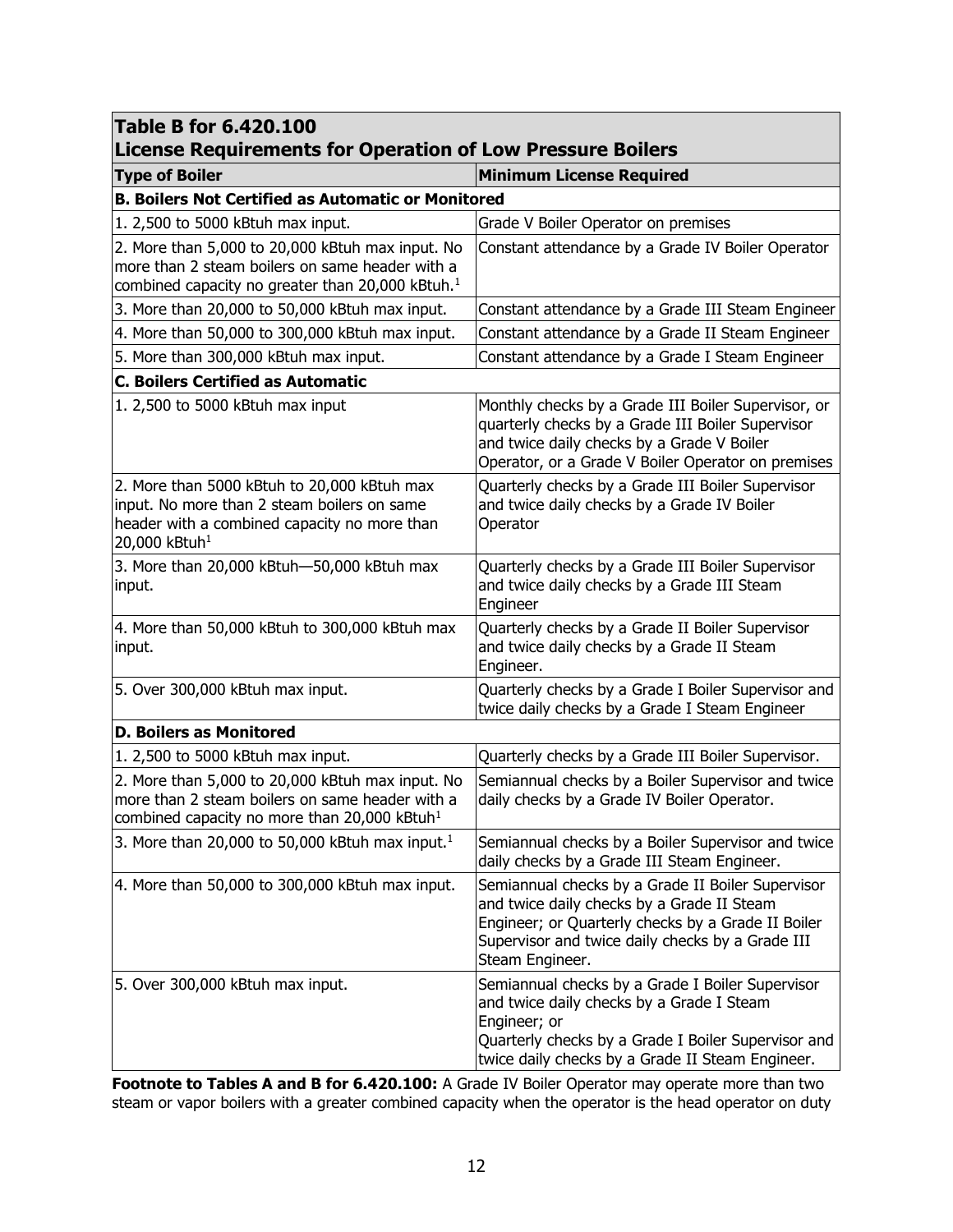| <b>Table B for 6.420.100</b><br><b>License Requirements for Operation of Low Pressure Boilers</b>                                                                       |                                                                                                                                                                                                                              |  |  |  |
|-------------------------------------------------------------------------------------------------------------------------------------------------------------------------|------------------------------------------------------------------------------------------------------------------------------------------------------------------------------------------------------------------------------|--|--|--|
| <b>Type of Boiler</b>                                                                                                                                                   | <b>Minimum License Required</b>                                                                                                                                                                                              |  |  |  |
| <b>B. Boilers Not Certified as Automatic or Monitored</b>                                                                                                               |                                                                                                                                                                                                                              |  |  |  |
| 1. 2,500 to 5000 kBtuh max input.                                                                                                                                       | Grade V Boiler Operator on premises                                                                                                                                                                                          |  |  |  |
| 2. More than 5,000 to 20,000 kBtuh max input. No<br>more than 2 steam boilers on same header with a<br>combined capacity no greater than 20,000 kBtuh. <sup>1</sup>     | Constant attendance by a Grade IV Boiler Operator                                                                                                                                                                            |  |  |  |
| 3. More than 20,000 to 50,000 kBtuh max input.                                                                                                                          | Constant attendance by a Grade III Steam Engineer                                                                                                                                                                            |  |  |  |
| 4. More than 50,000 to 300,000 kBtuh max input.                                                                                                                         | Constant attendance by a Grade II Steam Engineer                                                                                                                                                                             |  |  |  |
| 5. More than 300,000 kBtuh max input.                                                                                                                                   | Constant attendance by a Grade I Steam Engineer                                                                                                                                                                              |  |  |  |
| <b>C. Boilers Certified as Automatic</b>                                                                                                                                |                                                                                                                                                                                                                              |  |  |  |
| 1. 2,500 to 5000 kBtuh max input                                                                                                                                        | Monthly checks by a Grade III Boiler Supervisor, or<br>quarterly checks by a Grade III Boiler Supervisor<br>and twice daily checks by a Grade V Boiler<br>Operator, or a Grade V Boiler Operator on premises                 |  |  |  |
| 2. More than 5000 kBtuh to 20,000 kBtuh max<br>input. No more than 2 steam boilers on same<br>header with a combined capacity no more than<br>20,000 kBtuh <sup>1</sup> | Quarterly checks by a Grade III Boiler Supervisor<br>and twice daily checks by a Grade IV Boiler<br>Operator                                                                                                                 |  |  |  |
| 3. More than 20,000 kBtuh-50,000 kBtuh max<br>input.                                                                                                                    | Quarterly checks by a Grade III Boiler Supervisor<br>and twice daily checks by a Grade III Steam<br>Engineer                                                                                                                 |  |  |  |
| 4. More than 50,000 kBtuh to 300,000 kBtuh max<br>input.                                                                                                                | Quarterly checks by a Grade II Boiler Supervisor<br>and twice daily checks by a Grade II Steam<br>Engineer.                                                                                                                  |  |  |  |
| 5. Over 300,000 kBtuh max input.                                                                                                                                        | Quarterly checks by a Grade I Boiler Supervisor and<br>twice daily checks by a Grade I Steam Engineer                                                                                                                        |  |  |  |
| <b>D. Boilers as Monitored</b>                                                                                                                                          |                                                                                                                                                                                                                              |  |  |  |
| 1. 2,500 to 5000 kBtuh max input.                                                                                                                                       | Quarterly checks by a Grade III Boiler Supervisor.                                                                                                                                                                           |  |  |  |
| 2. More than 5,000 to 20,000 kBtuh max input. No<br>more than 2 steam boilers on same header with a<br>combined capacity no more than 20,000 kBtuh <sup>1</sup>         | Semiannual checks by a Boiler Supervisor and twice<br>daily checks by a Grade IV Boiler Operator.                                                                                                                            |  |  |  |
| 3. More than 20,000 to 50,000 kBtuh max input. <sup>1</sup>                                                                                                             | Semiannual checks by a Boiler Supervisor and twice<br>daily checks by a Grade III Steam Engineer.                                                                                                                            |  |  |  |
| 4. More than 50,000 to 300,000 kBtuh max input.                                                                                                                         | Semiannual checks by a Grade II Boiler Supervisor<br>and twice daily checks by a Grade II Steam<br>Engineer; or Quarterly checks by a Grade II Boiler<br>Supervisor and twice daily checks by a Grade III<br>Steam Engineer. |  |  |  |
| 5. Over 300,000 kBtuh max input.                                                                                                                                        | Semiannual checks by a Grade I Boiler Supervisor<br>and twice daily checks by a Grade I Steam<br>Engineer; or<br>Quarterly checks by a Grade I Boiler Supervisor and<br>twice daily checks by a Grade II Steam Engineer.     |  |  |  |

**Footnote to Tables A and B for 6.420.100:** A Grade IV Boiler Operator may operate more than two steam or vapor boilers with a greater combined capacity when the operator is the head operator on duty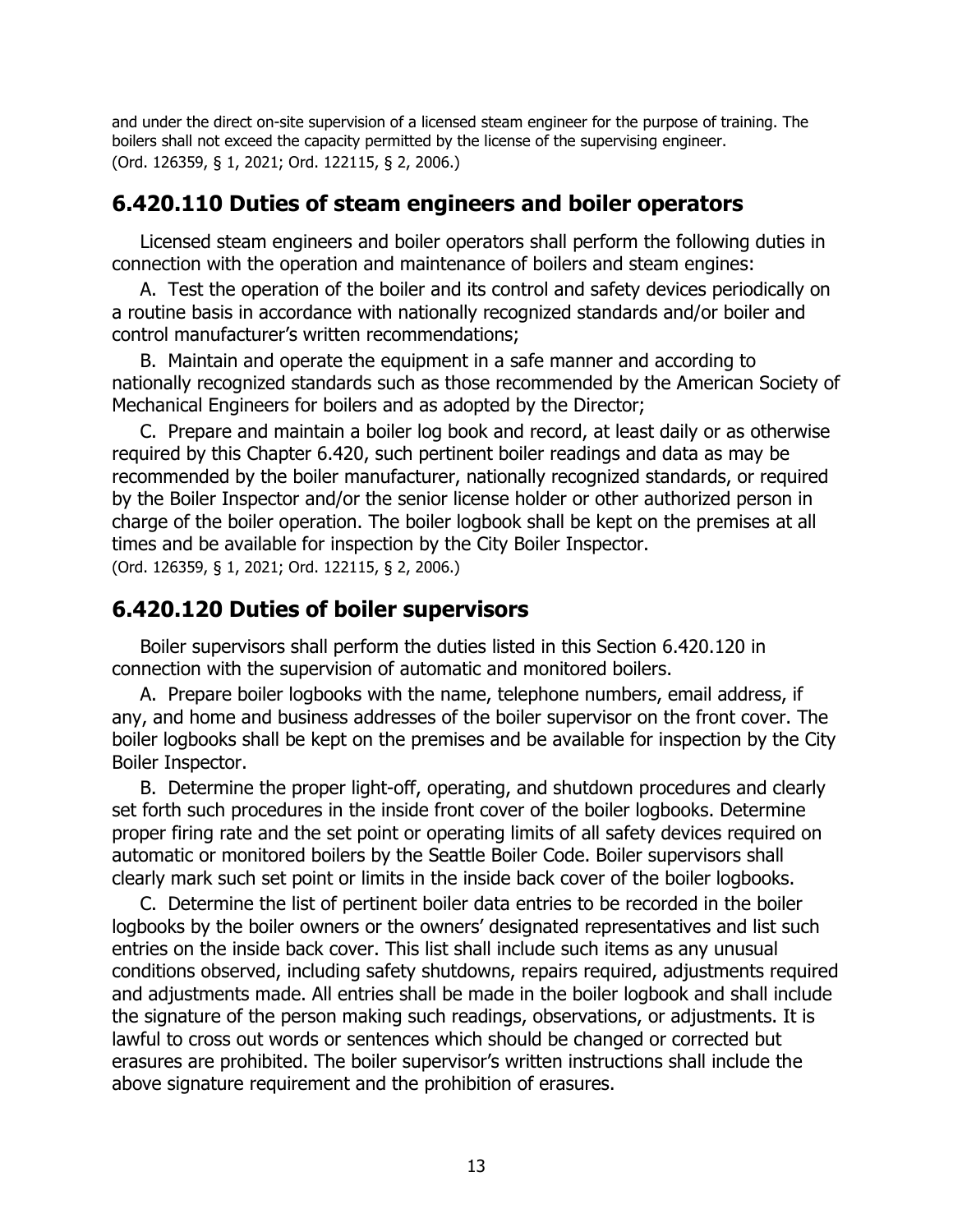and under the direct on-site supervision of a licensed steam engineer for the purpose of training. The boilers shall not exceed the capacity permitted by the license of the supervising engineer. (Ord. 126359, § 1, 2021; Ord. 122115, § 2, 2006.)

#### **6.420.110 Duties of steam engineers and boiler operators**

Licensed steam engineers and boiler operators shall perform the following duties in connection with the operation and maintenance of boilers and steam engines:

A. Test the operation of the boiler and its control and safety devices periodically on a routine basis in accordance with nationally recognized standards and/or boiler and control manufacturer's written recommendations;

B. Maintain and operate the equipment in a safe manner and according to nationally recognized standards such as those recommended by the American Society of Mechanical Engineers for boilers and as adopted by the Director;

C. Prepare and maintain a boiler log book and record, at least daily or as otherwise required by this Chapter 6.420, such pertinent boiler readings and data as may be recommended by the boiler manufacturer, nationally recognized standards, or required by the Boiler Inspector and/or the senior license holder or other authorized person in charge of the boiler operation. The boiler logbook shall be kept on the premises at all times and be available for inspection by the City Boiler Inspector. (Ord. 126359, § 1, 2021; Ord. 122115, § 2, 2006.)

## **6.420.120 Duties of boiler supervisors**

Boiler supervisors shall perform the duties listed in this Section 6.420.120 in connection with the supervision of automatic and monitored boilers.

A. Prepare boiler logbooks with the name, telephone numbers, email address, if any, and home and business addresses of the boiler supervisor on the front cover. The boiler logbooks shall be kept on the premises and be available for inspection by the City Boiler Inspector.

B. Determine the proper light-off, operating, and shutdown procedures and clearly set forth such procedures in the inside front cover of the boiler logbooks. Determine proper firing rate and the set point or operating limits of all safety devices required on automatic or monitored boilers by the Seattle Boiler Code. Boiler supervisors shall clearly mark such set point or limits in the inside back cover of the boiler logbooks.

C. Determine the list of pertinent boiler data entries to be recorded in the boiler logbooks by the boiler owners or the owners' designated representatives and list such entries on the inside back cover. This list shall include such items as any unusual conditions observed, including safety shutdowns, repairs required, adjustments required and adjustments made. All entries shall be made in the boiler logbook and shall include the signature of the person making such readings, observations, or adjustments. It is lawful to cross out words or sentences which should be changed or corrected but erasures are prohibited. The boiler supervisor's written instructions shall include the above signature requirement and the prohibition of erasures.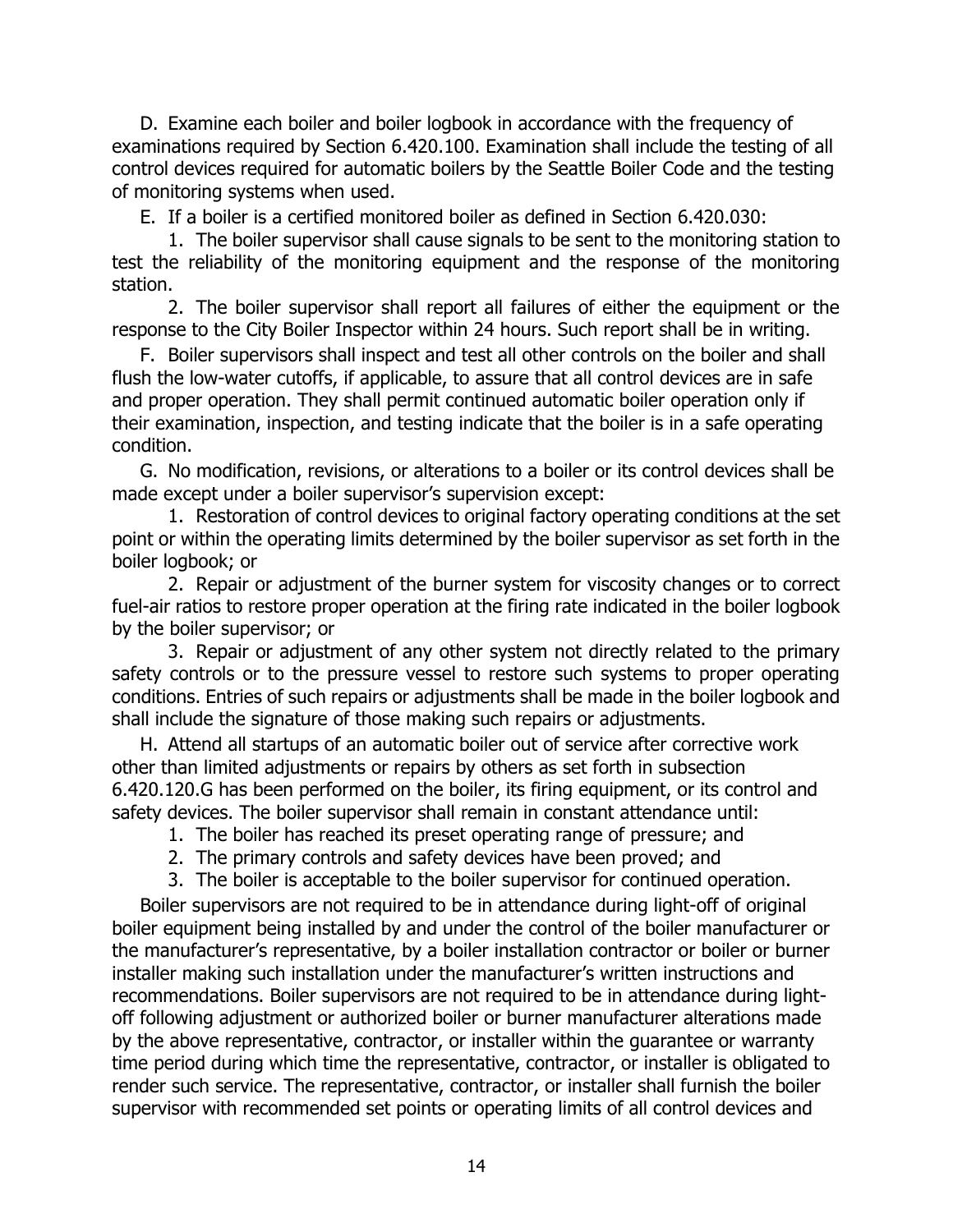D. Examine each boiler and boiler logbook in accordance with the frequency of examinations required by Section 6.420.100. Examination shall include the testing of all control devices required for automatic boilers by the Seattle Boiler Code and the testing of monitoring systems when used.

E. If a boiler is a certified monitored boiler as defined in Section 6.420.030:

1. The boiler supervisor shall cause signals to be sent to the monitoring station to test the reliability of the monitoring equipment and the response of the monitoring station.

2. The boiler supervisor shall report all failures of either the equipment or the response to the City Boiler Inspector within 24 hours. Such report shall be in writing.

F. Boiler supervisors shall inspect and test all other controls on the boiler and shall flush the low-water cutoffs, if applicable, to assure that all control devices are in safe and proper operation. They shall permit continued automatic boiler operation only if their examination, inspection, and testing indicate that the boiler is in a safe operating condition.

G. No modification, revisions, or alterations to a boiler or its control devices shall be made except under a boiler supervisor's supervision except:

1. Restoration of control devices to original factory operating conditions at the set point or within the operating limits determined by the boiler supervisor as set forth in the boiler logbook; or

2. Repair or adjustment of the burner system for viscosity changes or to correct fuel-air ratios to restore proper operation at the firing rate indicated in the boiler logbook by the boiler supervisor; or

3. Repair or adjustment of any other system not directly related to the primary safety controls or to the pressure vessel to restore such systems to proper operating conditions. Entries of such repairs or adjustments shall be made in the boiler logbook and shall include the signature of those making such repairs or adjustments.

H. Attend all startups of an automatic boiler out of service after corrective work other than limited adjustments or repairs by others as set forth in subsection 6.420.120.G has been performed on the boiler, its firing equipment, or its control and safety devices. The boiler supervisor shall remain in constant attendance until:

1. The boiler has reached its preset operating range of pressure; and

- 2. The primary controls and safety devices have been proved; and
- 3. The boiler is acceptable to the boiler supervisor for continued operation.

Boiler supervisors are not required to be in attendance during light-off of original boiler equipment being installed by and under the control of the boiler manufacturer or the manufacturer's representative, by a boiler installation contractor or boiler or burner installer making such installation under the manufacturer's written instructions and recommendations. Boiler supervisors are not required to be in attendance during lightoff following adjustment or authorized boiler or burner manufacturer alterations made by the above representative, contractor, or installer within the guarantee or warranty time period during which time the representative, contractor, or installer is obligated to render such service. The representative, contractor, or installer shall furnish the boiler supervisor with recommended set points or operating limits of all control devices and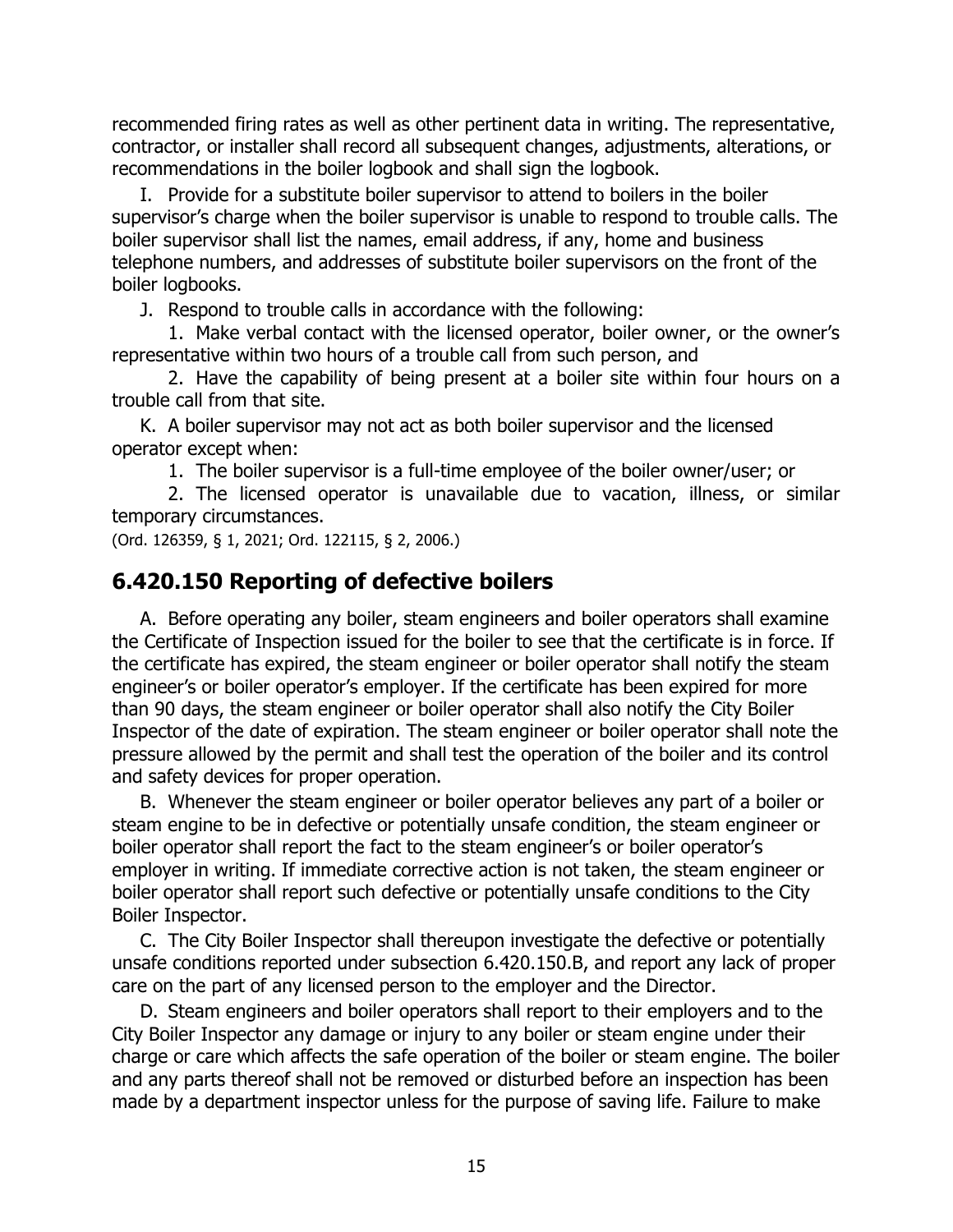recommended firing rates as well as other pertinent data in writing. The representative, contractor, or installer shall record all subsequent changes, adjustments, alterations, or recommendations in the boiler logbook and shall sign the logbook.

I. Provide for a substitute boiler supervisor to attend to boilers in the boiler supervisor's charge when the boiler supervisor is unable to respond to trouble calls. The boiler supervisor shall list the names, email address, if any, home and business telephone numbers, and addresses of substitute boiler supervisors on the front of the boiler logbooks.

J. Respond to trouble calls in accordance with the following:

1. Make verbal contact with the licensed operator, boiler owner, or the owner's representative within two hours of a trouble call from such person, and

2. Have the capability of being present at a boiler site within four hours on a trouble call from that site.

K. A boiler supervisor may not act as both boiler supervisor and the licensed operator except when:

1. The boiler supervisor is a full-time employee of the boiler owner/user; or

2. The licensed operator is unavailable due to vacation, illness, or similar temporary circumstances.

(Ord. 126359, § 1, 2021; Ord. 122115, § 2, 2006.)

## **6.420.150 Reporting of defective boilers**

A. Before operating any boiler, steam engineers and boiler operators shall examine the Certificate of Inspection issued for the boiler to see that the certificate is in force. If the certificate has expired, the steam engineer or boiler operator shall notify the steam engineer's or boiler operator's employer. If the certificate has been expired for more than 90 days, the steam engineer or boiler operator shall also notify the City Boiler Inspector of the date of expiration. The steam engineer or boiler operator shall note the pressure allowed by the permit and shall test the operation of the boiler and its control and safety devices for proper operation.

B. Whenever the steam engineer or boiler operator believes any part of a boiler or steam engine to be in defective or potentially unsafe condition, the steam engineer or boiler operator shall report the fact to the steam engineer's or boiler operator's employer in writing. If immediate corrective action is not taken, the steam engineer or boiler operator shall report such defective or potentially unsafe conditions to the City Boiler Inspector.

C. The City Boiler Inspector shall thereupon investigate the defective or potentially unsafe conditions reported under subsection 6.420.150.B, and report any lack of proper care on the part of any licensed person to the employer and the Director.

D. Steam engineers and boiler operators shall report to their employers and to the City Boiler Inspector any damage or injury to any boiler or steam engine under their charge or care which affects the safe operation of the boiler or steam engine. The boiler and any parts thereof shall not be removed or disturbed before an inspection has been made by a department inspector unless for the purpose of saving life. Failure to make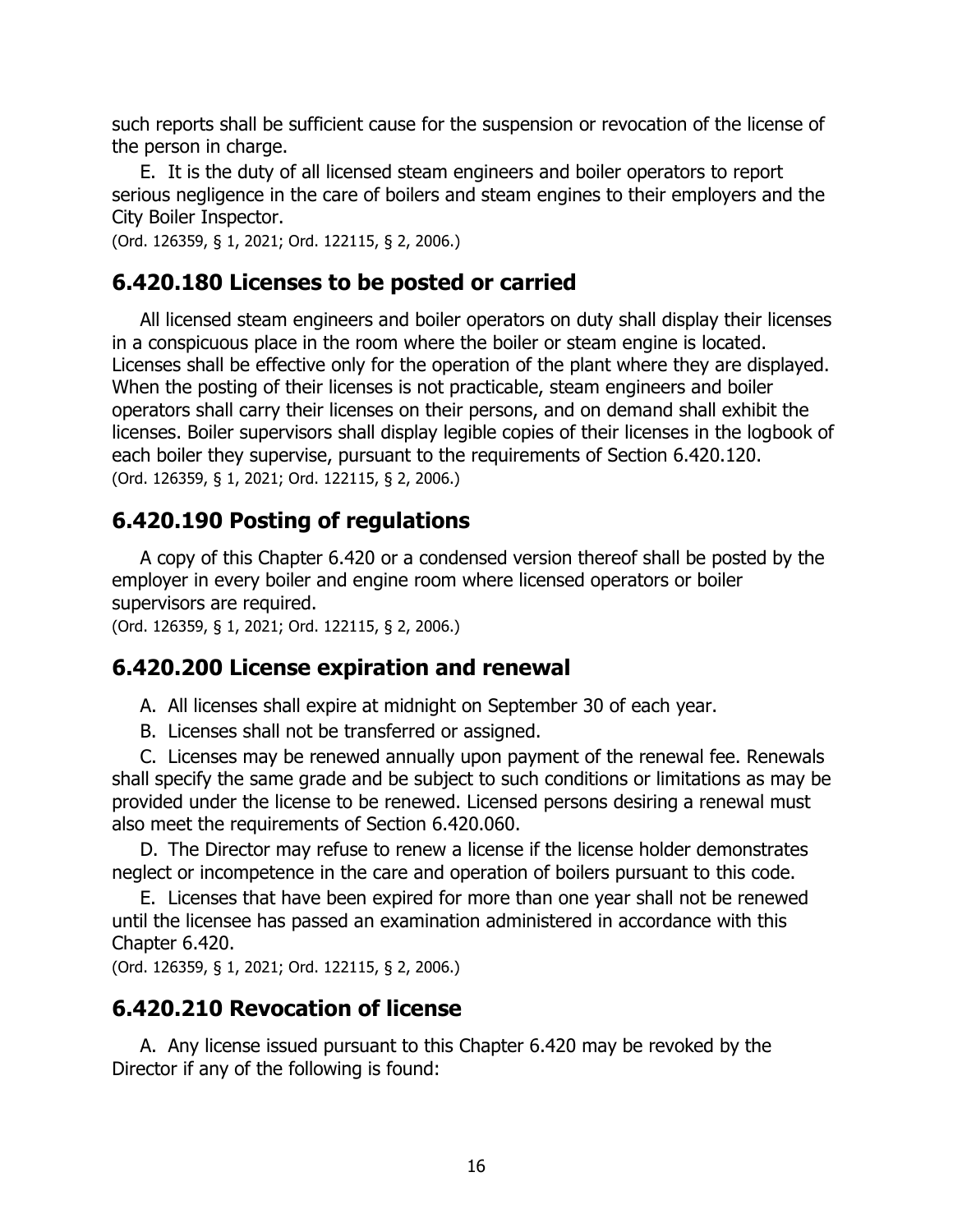such reports shall be sufficient cause for the suspension or revocation of the license of the person in charge.

E. It is the duty of all licensed steam engineers and boiler operators to report serious negligence in the care of boilers and steam engines to their employers and the City Boiler Inspector.

(Ord. 126359, § 1, 2021; Ord. 122115, § 2, 2006.)

## **6.420.180 Licenses to be posted or carried**

All licensed steam engineers and boiler operators on duty shall display their licenses in a conspicuous place in the room where the boiler or steam engine is located. Licenses shall be effective only for the operation of the plant where they are displayed. When the posting of their licenses is not practicable, steam engineers and boiler operators shall carry their licenses on their persons, and on demand shall exhibit the licenses. Boiler supervisors shall display legible copies of their licenses in the logbook of each boiler they supervise, pursuant to the requirements of Section 6.420.120. (Ord. 126359, § 1, 2021; Ord. 122115, § 2, 2006.)

# **6.420.190 Posting of regulations**

A copy of this Chapter 6.420 or a condensed version thereof shall be posted by the employer in every boiler and engine room where licensed operators or boiler supervisors are required.

(Ord. 126359, § 1, 2021; Ord. 122115, § 2, 2006.)

#### **6.420.200 License expiration and renewal**

A. All licenses shall expire at midnight on September 30 of each year.

B. Licenses shall not be transferred or assigned.

C. Licenses may be renewed annually upon payment of the renewal fee. Renewals shall specify the same grade and be subject to such conditions or limitations as may be provided under the license to be renewed. Licensed persons desiring a renewal must also meet the requirements of Section 6.420.060.

D. The Director may refuse to renew a license if the license holder demonstrates neglect or incompetence in the care and operation of boilers pursuant to this code.

E. Licenses that have been expired for more than one year shall not be renewed until the licensee has passed an examination administered in accordance with this Chapter 6.420.

(Ord. 126359, § 1, 2021; Ord. 122115, § 2, 2006.)

## **6.420.210 Revocation of license**

A. Any license issued pursuant to this Chapter 6.420 may be revoked by the Director if any of the following is found: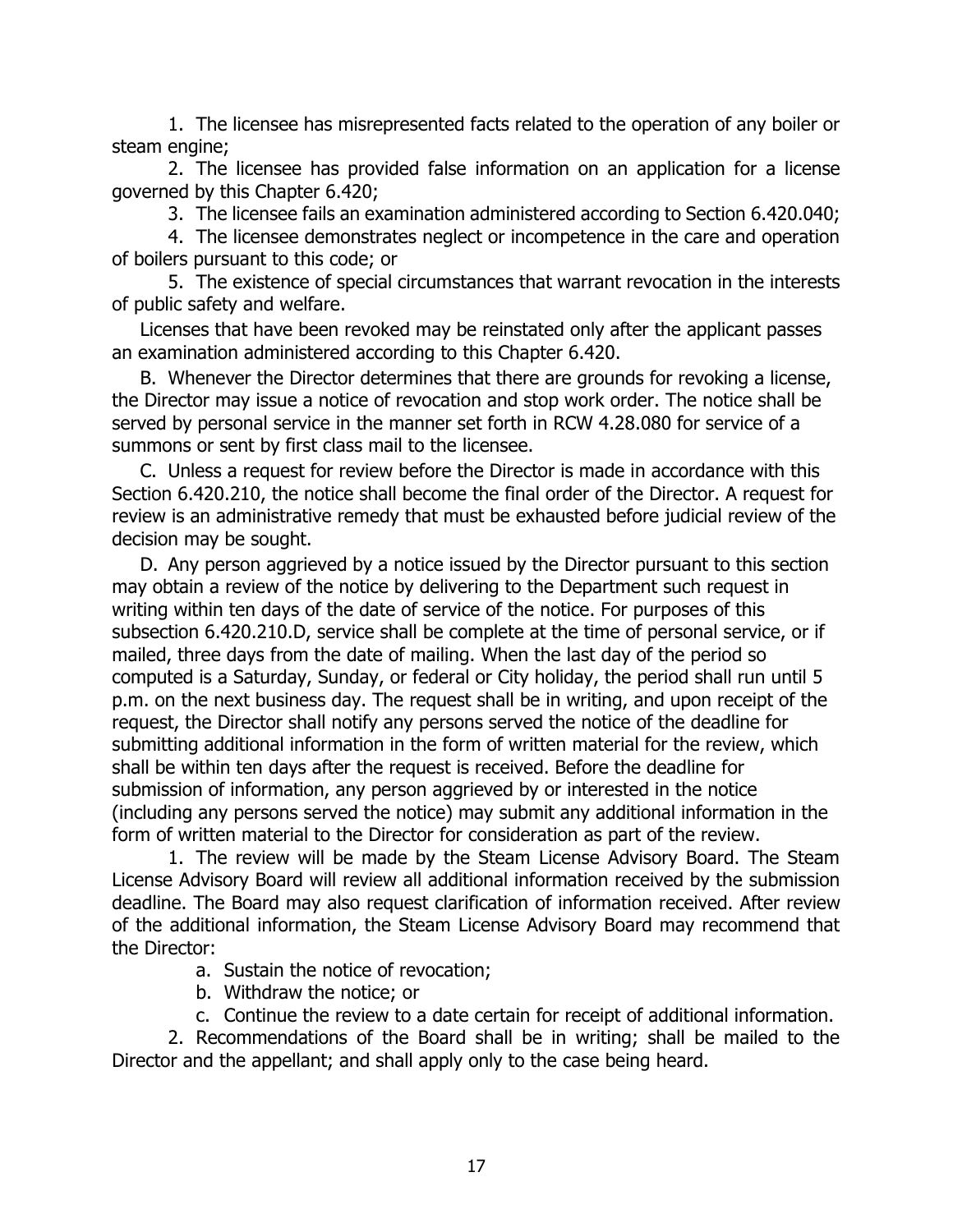1. The licensee has misrepresented facts related to the operation of any boiler or steam engine;

2. The licensee has provided false information on an application for a license governed by this Chapter 6.420;

3. The licensee fails an examination administered according to Section 6.420.040;

4. The licensee demonstrates neglect or incompetence in the care and operation of boilers pursuant to this code; or

5. The existence of special circumstances that warrant revocation in the interests of public safety and welfare.

Licenses that have been revoked may be reinstated only after the applicant passes an examination administered according to this Chapter 6.420.

B. Whenever the Director determines that there are grounds for revoking a license, the Director may issue a notice of revocation and stop work order. The notice shall be served by personal service in the manner set forth in RCW 4.28.080 for service of a summons or sent by first class mail to the licensee.

C. Unless a request for review before the Director is made in accordance with this Section 6.420.210, the notice shall become the final order of the Director. A request for review is an administrative remedy that must be exhausted before judicial review of the decision may be sought.

D. Any person aggrieved by a notice issued by the Director pursuant to this section may obtain a review of the notice by delivering to the Department such request in writing within ten days of the date of service of the notice. For purposes of this subsection 6.420.210.D, service shall be complete at the time of personal service, or if mailed, three days from the date of mailing. When the last day of the period so computed is a Saturday, Sunday, or federal or City holiday, the period shall run until 5 p.m. on the next business day. The request shall be in writing, and upon receipt of the request, the Director shall notify any persons served the notice of the deadline for submitting additional information in the form of written material for the review, which shall be within ten days after the request is received. Before the deadline for submission of information, any person aggrieved by or interested in the notice (including any persons served the notice) may submit any additional information in the form of written material to the Director for consideration as part of the review.

1. The review will be made by the Steam License Advisory Board. The Steam License Advisory Board will review all additional information received by the submission deadline. The Board may also request clarification of information received. After review of the additional information, the Steam License Advisory Board may recommend that the Director:

- a. Sustain the notice of revocation;
- b. Withdraw the notice; or
- c. Continue the review to a date certain for receipt of additional information.

2. Recommendations of the Board shall be in writing; shall be mailed to the Director and the appellant; and shall apply only to the case being heard.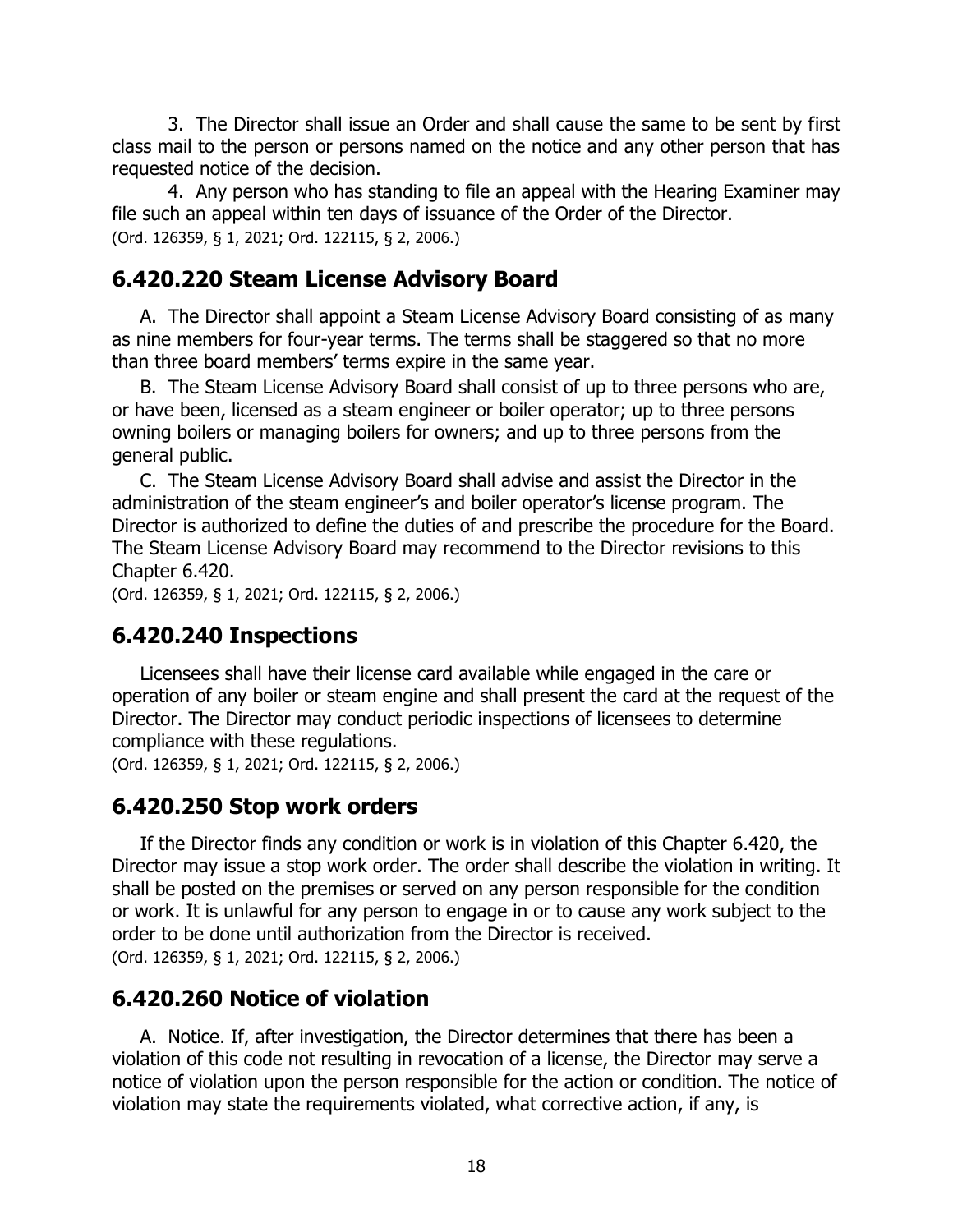3. The Director shall issue an Order and shall cause the same to be sent by first class mail to the person or persons named on the notice and any other person that has requested notice of the decision.

4. Any person who has standing to file an appeal with the Hearing Examiner may file such an appeal within ten days of issuance of the Order of the Director. (Ord. 126359, § 1, 2021; Ord. 122115, § 2, 2006.)

# **6.420.220 Steam License Advisory Board**

A. The Director shall appoint a Steam License Advisory Board consisting of as many as nine members for four-year terms. The terms shall be staggered so that no more than three board members' terms expire in the same year.

B. The Steam License Advisory Board shall consist of up to three persons who are, or have been, licensed as a steam engineer or boiler operator; up to three persons owning boilers or managing boilers for owners; and up to three persons from the general public.

C. The Steam License Advisory Board shall advise and assist the Director in the administration of the steam engineer's and boiler operator's license program. The Director is authorized to define the duties of and prescribe the procedure for the Board. The Steam License Advisory Board may recommend to the Director revisions to this Chapter 6.420.

(Ord. 126359, § 1, 2021; Ord. 122115, § 2, 2006.)

# **6.420.240 Inspections**

Licensees shall have their license card available while engaged in the care or operation of any boiler or steam engine and shall present the card at the request of the Director. The Director may conduct periodic inspections of licensees to determine compliance with these regulations.

(Ord. 126359, § 1, 2021; Ord. 122115, § 2, 2006.)

# **6.420.250 Stop work orders**

If the Director finds any condition or work is in violation of this Chapter 6.420, the Director may issue a stop work order. The order shall describe the violation in writing. It shall be posted on the premises or served on any person responsible for the condition or work. It is unlawful for any person to engage in or to cause any work subject to the order to be done until authorization from the Director is received. (Ord. 126359, § 1, 2021; Ord. 122115, § 2, 2006.)

# **6.420.260 Notice of violation**

A. Notice. If, after investigation, the Director determines that there has been a violation of this code not resulting in revocation of a license, the Director may serve a notice of violation upon the person responsible for the action or condition. The notice of violation may state the requirements violated, what corrective action, if any, is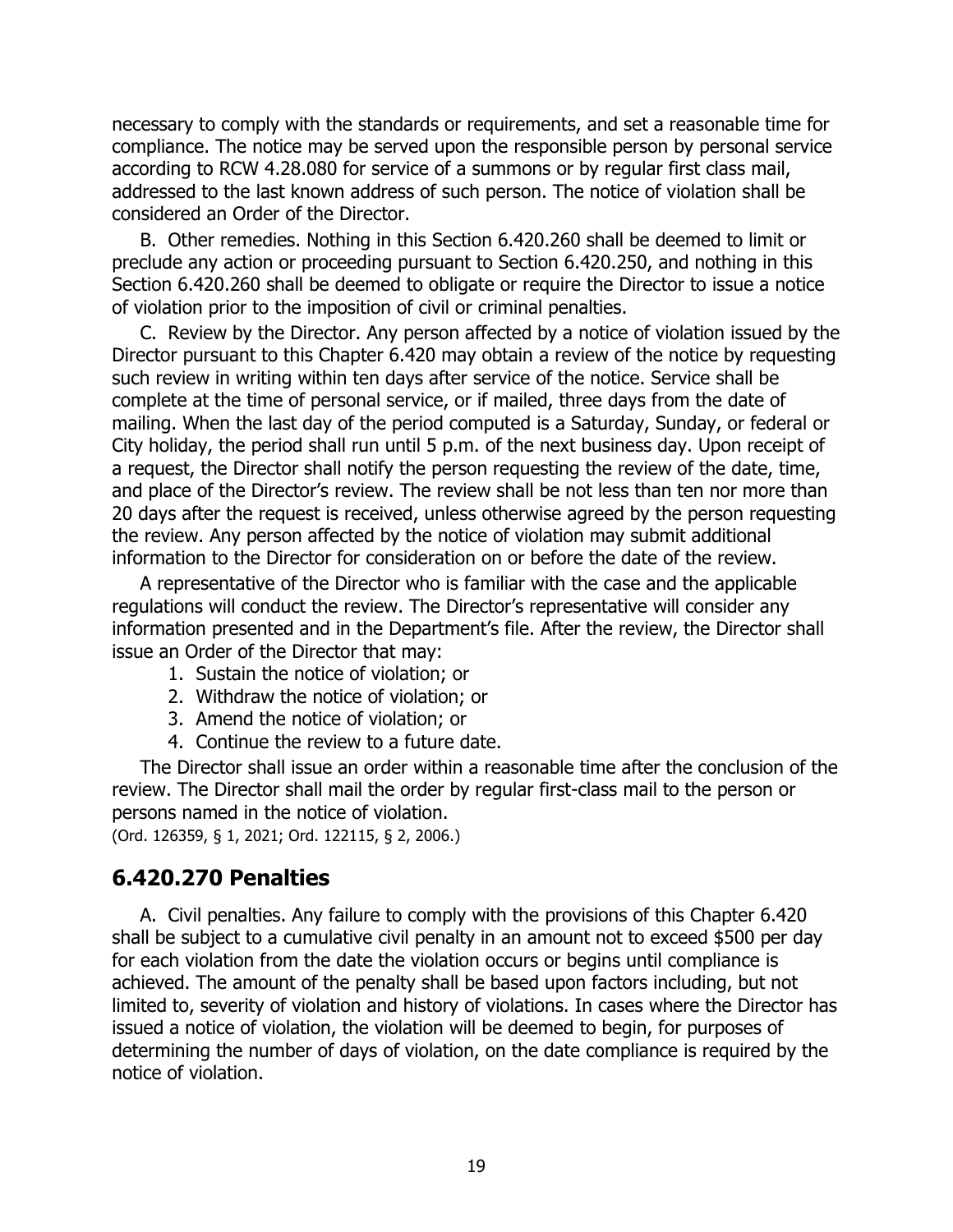necessary to comply with the standards or requirements, and set a reasonable time for compliance. The notice may be served upon the responsible person by personal service according to RCW 4.28.080 for service of a summons or by regular first class mail, addressed to the last known address of such person. The notice of violation shall be considered an Order of the Director.

B. Other remedies. Nothing in this Section 6.420.260 shall be deemed to limit or preclude any action or proceeding pursuant to Section 6.420.250, and nothing in this Section 6.420.260 shall be deemed to obligate or require the Director to issue a notice of violation prior to the imposition of civil or criminal penalties.

C. Review by the Director. Any person affected by a notice of violation issued by the Director pursuant to this Chapter 6.420 may obtain a review of the notice by requesting such review in writing within ten days after service of the notice. Service shall be complete at the time of personal service, or if mailed, three days from the date of mailing. When the last day of the period computed is a Saturday, Sunday, or federal or City holiday, the period shall run until 5 p.m. of the next business day. Upon receipt of a request, the Director shall notify the person requesting the review of the date, time, and place of the Director's review. The review shall be not less than ten nor more than 20 days after the request is received, unless otherwise agreed by the person requesting the review. Any person affected by the notice of violation may submit additional information to the Director for consideration on or before the date of the review.

A representative of the Director who is familiar with the case and the applicable regulations will conduct the review. The Director's representative will consider any information presented and in the Department's file. After the review, the Director shall issue an Order of the Director that may:

- 1. Sustain the notice of violation; or
- 2. Withdraw the notice of violation; or
- 3. Amend the notice of violation; or
- 4. Continue the review to a future date.

The Director shall issue an order within a reasonable time after the conclusion of the review. The Director shall mail the order by regular first-class mail to the person or persons named in the notice of violation.

(Ord. 126359, § 1, 2021; Ord. 122115, § 2, 2006.)

#### **6.420.270 Penalties**

A. Civil penalties. Any failure to comply with the provisions of this Chapter 6.420 shall be subject to a cumulative civil penalty in an amount not to exceed \$500 per day for each violation from the date the violation occurs or begins until compliance is achieved. The amount of the penalty shall be based upon factors including, but not limited to, severity of violation and history of violations. In cases where the Director has issued a notice of violation, the violation will be deemed to begin, for purposes of determining the number of days of violation, on the date compliance is required by the notice of violation.